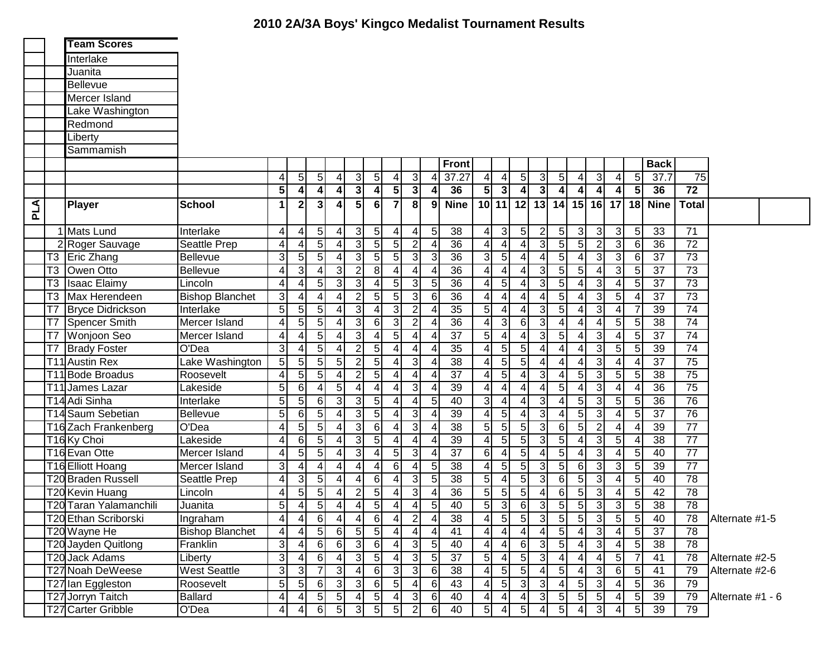| Interlake<br>Juanita<br><b>Bellevue</b><br>Mercer Island<br>Lake Washington<br>Redmond<br>_iberty<br>Sammamish<br><b>Front</b><br><b>Back</b><br>5<br>$\sqrt{5}$<br>$\overline{3}$<br>3<br>37.27<br>5 <sub>1</sub><br>5 <sub>l</sub><br>دن<br>37.7<br>$\overline{75}$<br>$\overline{\mathcal{A}}$<br>5 <sub>5</sub><br>$\overline{\mathcal{A}}$<br> 3 <br>5 <sub>l</sub><br>$\vert 4 \vert$<br>$\overline{4}$<br>$\overline{4}$<br>4<br>$\overline{4}$<br>4<br>3<br>5<br>$\overline{4}$<br>$\overline{\mathbf{3}}$<br>$\overline{3}$<br>$\overline{\mathbf{A}}$<br>$\overline{72}$<br>$\overline{\mathbf{3}}$<br>5 <sup>1</sup><br>5 <sub>1</sub><br>$\vert$<br>$\vert$<br>5 <sub>l</sub><br>36<br>$\vert$<br>4<br>36<br>$\overline{4}$<br>$\boldsymbol{4}$<br>$\frac{4}{ }$<br>$\frac{4}{ }$<br>8 <sup>1</sup><br>10 11 <br>$\mathbf{3}$<br>5 <sup>1</sup><br>$\overline{7}$<br>12<br>$13$ 14<br>$15$   16<br>17<br>PLA<br><b>School</b><br>$\blacktriangleleft$<br>$\mathbf{2}$<br>6<br><b>Nine</b><br>18 Nine<br><b>Player</b><br>$\overline{4}$<br>9<br><b>Total</b><br>1 Mats Lund<br>3<br>38<br>$\mathbf{3}$<br>$\sqrt{5}$<br>$\overline{3}$<br>$\mathbf{3}$<br>5 <sub>l</sub><br>33<br>71<br>Interlake<br>$\overline{5}$<br>$\overline{5}$<br>$\overline{4}$<br>5<br>5 <sub>l</sub><br>$\mathbf{2}$<br>$\mathbf{3}$<br>4<br>4<br> 4 <br>4<br>$\overline{5}$<br>$\overline{5}$<br>$\overline{2}$<br>$\overline{3}$<br>5<br>$\overline{5}$<br> 3 <br>5 <sub>l</sub><br>$\overline{2}$<br>$\mathbf{3}$<br>$\overline{36}$<br>$\overline{72}$<br>4<br>36<br>$\overline{4}$<br>$\overline{4}$<br>$6 \mid$<br>2 Roger Sauvage<br>Seattle Prep<br>4<br>4<br>4<br>$\overline{3}$<br>$5\phantom{.0}$<br>5<br>$\mathfrak{3}$<br>$\overline{73}$<br>$\mathbf{3}$<br> 3 <br>5<br>5 <sub>l</sub><br>36<br>$\overline{3}$<br>5<br>$\mathbf{3}$<br>37<br>5 <sub>l</sub><br>3<br>4<br>$\overline{4}$<br>$6 \mid$<br>T3<br><b>Eric Zhang</b><br>Bellevue<br>4<br>5<br>T <sub>3</sub><br>$\overline{4}$<br>3 <sup>l</sup><br>$\overline{3}$<br>$\overline{2}$<br>4<br>3 <sup>1</sup><br>5 <sub>l</sub><br>$\mathbf{3}$<br>37<br>73<br>Owen Otto<br>4<br>8 <sup>1</sup><br>36<br>4<br>4<br>5 <sub>l</sub><br>Bellevue<br>$\overline{4}$<br>4<br>4<br>4<br>3 <sup>1</sup><br>$\overline{5}$<br>5<br>$\overline{3}$<br> 3 <br>5 <sub>1</sub><br>36<br>5<br>3 <sup>1</sup><br>3<br>5 <sub>l</sub><br>37<br>73<br>T <sub>3</sub><br><b>Isaac Elaimy</b><br>$\overline{4}$<br>5<br>Lincoln<br>$\overline{4}$<br>4<br>$\overline{4}$<br>4<br>4<br>$\overline{3}$<br>5<br>3<br>$5\overline{)}$<br>5 <sub>l</sub><br>$\overline{36}$<br>$\mathfrak{3}$<br>$\overline{37}$<br>$\overline{73}$<br>T <sub>3</sub><br><b>Bishop Blanchet</b><br>4<br>$\overline{2}$<br>$\overline{4}$<br>$5\phantom{.0}$<br>Max Herendeen<br>$\vert 4 \vert$<br>$6 \mid$<br>$\vert 4 \vert$<br>4<br>$\vert$<br>4<br>5<br>5<br>$\overline{2}$<br>5<br>$\mathfrak{3}$<br>T7<br> 3 <br>3 <sup>1</sup><br>35<br>5 <sup>1</sup><br>$\overline{4}$<br>3 <sup>1</sup><br>74<br>5 <sub>l</sub><br>4<br>$\vert 4 \vert$<br>$\overline{7}$<br>39<br><b>Bryce Didrickson</b><br>Interlake<br>4<br>$\overline{\mathcal{L}}$<br>4<br>4<br>$\overline{2}$<br>$\overline{4}$<br>5<br>5<br>$\mathbf{3}$<br>3 <sup>1</sup><br>$\overline{36}$<br>3<br>$6 \mid$<br>3<br>4<br>$\overline{4}$<br>$\overline{38}$<br>$\overline{74}$<br>T7<br>Spencer Smith<br>Mercer Island<br>6<br>$\overline{4}$<br>$\overline{5}$<br>5 <sub>5</sub><br>$\overline{4}$<br>4<br>4<br>5<br> 3 <br>5 <sub>l</sub><br>$\overline{4}$<br>$\overline{37}$<br>4<br>3<br>$5\phantom{.0}$<br>$\sqrt{3}$<br>5 <sub>l</sub><br>$\overline{37}$<br>$\overline{74}$<br>T7   Wonjoon Seo<br>$\overline{\mathbf{4}}$<br>4<br>$\overline{\mathbf{4}}$<br>5 <sup>1</sup><br>Mercer Island<br>4<br>$\overline{4}$<br>4<br>3<br>74<br>$\overline{3}$<br>$\overline{5}$<br>$\overline{2}$<br>$\overline{5}$<br>35<br>$\overline{5}$<br>$\overline{5}$<br>$\overline{4}$<br>5<br>39<br>$\vert 4 \vert$<br>4 <sup>1</sup><br>$\overline{\mathbf{4}}$<br>5 <sub>l</sub><br>T7<br><b>Brady Foster</b><br>O'Dea<br>$\vert$<br>$\overline{4}$<br>4<br>4<br>4<br>$5\overline{)}$<br>5<br>$\overline{2}$<br>$\overline{5}$<br>$\overline{3}$<br>$\overline{5}$<br>$\overline{5}$<br>دن<br>75<br>5 <sub>l</sub><br>5 <sup>1</sup><br>$\overline{38}$<br>$\overline{4}$<br>$\overline{37}$<br>T11 Austin Rex<br>4 <sub>1</sub><br>$\vert 4 \vert$<br>$\overline{4}$<br>$\overline{4}$<br>$\vert 4 \vert$<br>Lake Washington<br>4<br>4<br>$\overline{2}$<br>$\overline{37}$<br>دن<br>$\overline{4}$<br>5 <sup>1</sup><br>5<br>5<br>$\overline{4}$<br>5<br>3<br>4<br>5 <sup>1</sup><br>$5\phantom{.0}$<br>5 <sub>l</sub><br>$\overline{38}$<br>$\overline{75}$<br>T11 Bode Broadus<br>$\overline{4}$<br>4<br>Roosevelt<br>$\vert$<br>4<br>4<br>5<br>دن<br>5 <sup>1</sup><br>3 <sup>1</sup><br>5<br>$\overline{36}$<br>75<br>Lakeside<br>4<br>39<br>4<br>T11 James Lazar<br>61<br>$\overline{4}$<br>4<br>41<br>4<br>4<br>4<br>$\overline{4}$<br>$\overline{4}$<br>$\overline{4}$<br>4<br>5<br>3<br>$\overline{5}$<br>$\overline{5}$<br>$\overline{3}$<br>36<br>76<br>T14 Adi Sinha<br>5<br>6<br>3<br>40<br>$\overline{3}$<br>3<br>$\overline{5}$<br>Interlake<br>4<br>5<br>$\overline{4}$<br>4<br>5 <sub>5</sub><br>4<br>$\vert$<br>5<br>5<br>5<br>3<br>$\overline{39}$<br>3<br>5 <sub>l</sub><br>3<br>$\overline{37}$<br>$\overline{76}$<br>T14 Saum Sebetian<br>$\vert 3 \vert$<br>5<br>4<br>5 <sub>5</sub><br>Bellevue<br>61<br>$\overline{\mathcal{L}}$<br>$\vert$<br>4<br>$\overline{4}$<br>4<br>4<br>$\overline{3}$<br>$\overline{77}$<br>5<br>$\overline{38}$<br>5<br>3 <sup>1</sup><br>$\overline{2}$<br>T16 Zach Frankenberg<br>O'Dea<br>4<br>5 <sub>l</sub><br>$\vert 3 \vert$<br>6<br>5 <sup>1</sup><br>5 <sup>1</sup><br>6<br>5 <sup>1</sup><br>39<br>4<br>4<br>4<br>T <sub>16</sub> Ky Choi<br>5<br>3<br>$\overline{77}$<br>$\vert 3 \vert$<br>$\overline{4}$<br>39<br>5<br>5 <sup>1</sup><br>$\overline{3}$<br>5<br>$\overline{5}$<br>38<br>4<br>6<br>5<br>Lakeside<br>4<br>4<br>4<br>$\overline{77}$<br>$5\phantom{.0}$<br> 3 <br>3 <sup>1</sup><br>$\overline{37}$<br>5 <sub>5</sub><br>5<br>3<br>40<br>T16 Evan Otte<br>4<br>5 <sub>l</sub><br>5 <sub>l</sub><br>$6 \mid$<br>$\overline{\mathcal{A}}$<br>5 <sub>5</sub><br>Mercer Island<br>4<br>4<br>$\overline{4}$<br>$\overline{77}$<br>5<br>$\mathbf{3}$<br>4<br>4<br>5 <sup>1</sup><br>3 <sup>l</sup><br>3<br>39<br>$6 \mid$<br>5<br>38<br>5<br>6<br>3<br>5 <sub>5</sub><br>T16 Elliott Hoang<br>Mercer Island<br>4<br>$\overline{4}$<br>4<br>4<br>5<br>3 <sup>1</sup><br>5 <sup>1</sup><br>5 <sup>1</sup><br>3<br>$6 \,$<br>5 <sup>1</sup><br>$\mathbf{3}$<br>$\overline{78}$<br><b>T20 Braden Russell</b><br>4<br>3 <sup>l</sup><br>6<br>5<br>38<br>$\overline{4}$<br>5 <sub>l</sub><br>40<br>Seattle Prep<br>4<br>$\overline{4}$<br>4<br>$\frac{4}{ }$<br>5<br>3 <sup>1</sup><br>5 <sup>1</sup><br>$6 \,$<br>5 <sup>1</sup><br>$\mathbf{3}$<br>$\overline{78}$<br>T20 Kevin Huang<br>5 <sub>l</sub><br>5 <sub>l</sub><br>5 <sub>l</sub><br>5<br>5 <sub>l</sub><br>42<br>2<br>36<br>Lincoln<br>4<br>4<br>$\overline{4}$<br>41<br>4<br>4<br>$\overline{5}$<br>$\overline{5}$<br>$\overline{5}$<br>$\overline{3}$<br>5<br>$\overline{5}$<br>دن<br>38<br>78<br>5<br>40<br>6 <sup>1</sup><br>$\overline{3}$<br>5 <sub>l</sub><br>T20 Taran Yalamanchili<br>4<br>5 <sub>l</sub><br>3 <sup>l</sup><br>4<br>$\overline{4}$<br>Juanita<br>$\overline{4}$<br>4<br>T20 Ethan Scriborski<br>4<br>4<br>$6 \overline{6}$<br>$\vert 4 \vert$<br>4<br>6<br>$\vert$<br>$2\vert$<br>4<br>38<br>$\overline{4}$<br>5<br>3<br>5<br>5<br> 3 <br>5<br>5<br>Ingraham<br>5 <sub>l</sub><br>40<br>78<br>$\overline{5}$<br>5<br>5<br>$\overline{5}$<br>$\overline{4}$<br>دی<br>$6 \mid$<br>$\overline{4}$<br>$\overline{41}$<br>$\overline{4}$<br>$\overline{4}$<br>$\vert$<br>$\overline{5}$<br>$\overline{37}$<br>T20 Wayne He<br><b>Bishop Blanchet</b><br>$\overline{4}$<br>$\overline{4}$<br>$\overline{4}$<br>$\overline{4}$<br>$\overline{4}$<br>78<br>4<br>$\overline{\omega}$<br>$5\overline{)}$<br>دى<br>Franklin<br>3<br>6<br>$6 \mid$<br>$\lceil 3 \rceil$<br>5 <sub>l</sub><br>$\overline{4}$<br> 3 <br>5<br>T20 Jayden Quitlong<br>$6 \mid$<br>40<br>$6 \mid$<br>38<br>78<br>$\vert$<br>$\overline{4}$<br>$\overline{4}$<br>4<br>4<br>3<br>$\overline{3}$<br>$\overline{3}$<br>$\overline{3}$<br>5 <sub>l</sub><br>5 <sub>l</sub><br>37<br>5 <sup>1</sup><br>5 <sub>1</sub><br>$\overline{4}$<br>5 <sub>5</sub><br>$\overline{7}$<br>6<br>$\overline{a}$<br>4<br>41<br>T20 Jack Adams<br>$\vert$<br>$\overline{4}$<br>78<br>Liberty<br>Alternate #2-5<br>$\overline{3}$<br>$\overline{5}$<br>$5\overline{)}$<br>$\overline{3}$<br>3<br>$\overline{3}$<br>$6 \overline{}$<br>$\overline{\mathbf{3}}$<br>$5\overline{)}$<br><b>West Seattle</b><br>3<br>$\overline{7}$<br>$\vert$<br>38<br>$\vert 4 \vert$<br>6<br>5 <sub>l</sub><br>41<br>T27 Noah DeWeese<br>$6 \mid$<br>$\overline{4}$<br>79<br>Alternate #2-6<br>4<br>$\overline{5}$<br>$\overline{4}$<br>3 <sup>l</sup><br>$\lceil 3 \rceil$<br>$\overline{5}$<br>5 <sub>5</sub><br>3<br>3<br>$\overline{4}$<br>5 <sup>1</sup><br>دی<br>5 <sup>1</sup><br>6<br>6<br>$6 \mid$<br>5<br>36<br>43<br>T27 Ian Eggleston<br>Roosevelt<br>4<br>79<br>4<br>$\overline{3}$<br>5 <sub>1</sub><br>$5\overline{)}$<br>Ballard<br>5 <sub>l</sub><br>5 <sub>l</sub><br>5 <sub>l</sub><br>T27 Jorryn Taitch<br>5 <sub>l</sub><br>6<br>40<br>3 <sup>l</sup><br>39<br>4<br>$\sqrt{5}$<br>4<br>$\vert 4 \vert$<br>79<br>Alternate #1 - 6<br>41<br>41<br>$\overline{4}$<br>4<br>$5\vert$<br>$\overline{2}$<br>T27 Carter Gribble<br>5 <sub>5</sub><br>5<br>$\mathbf{3}$<br>39<br>O'Dea<br>6<br>3 <sup>l</sup><br>5 <sub>l</sub><br>$6 \mid$<br>40<br>5 <sup>1</sup><br>5 <sub>l</sub><br>5 <sup>1</sup><br>4<br>4<br>79 |  | <b>Team Scores</b> |  |  |  |  |  |  |  |  |  |  |  |                |
|----------------------------------------------------------------------------------------------------------------------------------------------------------------------------------------------------------------------------------------------------------------------------------------------------------------------------------------------------------------------------------------------------------------------------------------------------------------------------------------------------------------------------------------------------------------------------------------------------------------------------------------------------------------------------------------------------------------------------------------------------------------------------------------------------------------------------------------------------------------------------------------------------------------------------------------------------------------------------------------------------------------------------------------------------------------------------------------------------------------------------------------------------------------------------------------------------------------------------------------------------------------------------------------------------------------------------------------------------------------------------------------------------------------------------------------------------------------------------------------------------------------------------------------------------------------------------------------------------------------------------------------------------------------------------------------------------------------------------------------------------------------------------------------------------------------------------------------------------------------------------------------------------------------------------------------------------------------------------------------------------------------------------------------------------------------------------------------------------------------------------------------------------------------------------------------------------------------------------------------------------------------------------------------------------------------------------------------------------------------------------------------------------------------------------------------------------------------------------------------------------------------------------------------------------------------------------------------------------------------------------------------------------------------------------------------------------------------------------------------------------------------------------------------------------------------------------------------------------------------------------------------------------------------------------------------------------------------------------------------------------------------------------------------------------------------------------------------------------------------------------------------------------------------------------------------------------------------------------------------------------------------------------------------------------------------------------------------------------------------------------------------------------------------------------------------------------------------------------------------------------------------------------------------------------------------------------------------------------------------------------------------------------------------------------------------------------------------------------------------------------------------------------------------------------------------------------------------------------------------------------------------------------------------------------------------------------------------------------------------------------------------------------------------------------------------------------------------------------------------------------------------------------------------------------------------------------------------------------------------------------------------------------------------------------------------------------------------------------------------------------------------------------------------------------------------------------------------------------------------------------------------------------------------------------------------------------------------------------------------------------------------------------------------------------------------------------------------------------------------------------------------------------------------------------------------------------------------------------------------------------------------------------------------------------------------------------------------------------------------------------------------------------------------------------------------------------------------------------------------------------------------------------------------------------------------------------------------------------------------------------------------------------------------------------------------------------------------------------------------------------------------------------------------------------------------------------------------------------------------------------------------------------------------------------------------------------------------------------------------------------------------------------------------------------------------------------------------------------------------------------------------------------------------------------------------------------------------------------------------------------------------------------------------------------------------------------------------------------------------------------------------------------------------------------------------------------------------------------------------------------------------------------------------------------------------------------------------------------------------------------------------------------------------------------------------------------------------------------------------------------------------------------------------------------------------------------------------------------------------------------------------------------------------------------------------------------------------------------------------------------------------------------------------------------------------------------------------------------------------------------------------------------------------------------------------------------------------------------------------------------------------------------------------------------------------------------------------------------------------------------------------------------------------------------------------------------------------------------------------------------------------------------------------------------------------------------------------------------------------------------------------------------------------------------------------------------------------------------------------------------------------------------------------------------------------------------------------------------------------------------------------------------------------------------------------------------------------------------------------------------------------------------------------------------------------------------------------------------------------------------------------------------------------------------------------------------------------------------------------------------------------------------------------------------------------------------------------------------------------------------------------------------------------------------------------------------------------------------------------------------------------------------------------------------------------------------------------------------------------------------------------------------------------------------------------------------------------------------------------------------------------------------------------------------------------------------------------------------------------------------------------------------------------------------------------------------------------------------------------------------------------------------------------------------------------------------------------------------------------------------------------------------------------------------------------------------------------------------------------------------------------------------------------------------------------------------------------------------------------------------------------------------------------------------------------------------------------------------------------------------------------------------------------------------------------------------------------------------------------------------------------------------------------------------------------------------------------------------------------------------------------------------------------------------------------------------------------------------------------------------------------------------------------------------------------------------------------------------------------------------------------------------------------------------------------------------------------------------------------------------------------------------------------------------------------------------------------------------------------------------------------------------------|--|--------------------|--|--|--|--|--|--|--|--|--|--|--|----------------|
|                                                                                                                                                                                                                                                                                                                                                                                                                                                                                                                                                                                                                                                                                                                                                                                                                                                                                                                                                                                                                                                                                                                                                                                                                                                                                                                                                                                                                                                                                                                                                                                                                                                                                                                                                                                                                                                                                                                                                                                                                                                                                                                                                                                                                                                                                                                                                                                                                                                                                                                                                                                                                                                                                                                                                                                                                                                                                                                                                                                                                                                                                                                                                                                                                                                                                                                                                                                                                                                                                                                                                                                                                                                                                                                                                                                                                                                                                                                                                                                                                                                                                                                                                                                                                                                                                                                                                                                                                                                                                                                                                                                                                                                                                                                                                                                                                                                                                                                                                                                                                                                                                                                                                                                                                                                                                                                                                                                                                                                                                                                                                                                                                                                                                                                                                                                                                                                                                                                                                                                                                                                                                                                                                                                                                                                                                                                                                                                                                                                                                                                                                                                                                                                                                                                                                                                                                                                                                                                                                                                                                                                                                                                                                                                                                                                                                                                                                                                                                                                                                                                                                                                                                                                                                                                                                                                                                                                                                                                                                                                                                                                                                                                                                                                                                                                                                                                                                                                                                                                                                                                                                                                                                                                                                                                                                                                                                                                                                                                                                                                                                                                                                                                                                                                                                                                                                                                                                                                                                                                                                                                                                                                                                                                                                                                                                                                                                                                                                                          |  |                    |  |  |  |  |  |  |  |  |  |  |  |                |
|                                                                                                                                                                                                                                                                                                                                                                                                                                                                                                                                                                                                                                                                                                                                                                                                                                                                                                                                                                                                                                                                                                                                                                                                                                                                                                                                                                                                                                                                                                                                                                                                                                                                                                                                                                                                                                                                                                                                                                                                                                                                                                                                                                                                                                                                                                                                                                                                                                                                                                                                                                                                                                                                                                                                                                                                                                                                                                                                                                                                                                                                                                                                                                                                                                                                                                                                                                                                                                                                                                                                                                                                                                                                                                                                                                                                                                                                                                                                                                                                                                                                                                                                                                                                                                                                                                                                                                                                                                                                                                                                                                                                                                                                                                                                                                                                                                                                                                                                                                                                                                                                                                                                                                                                                                                                                                                                                                                                                                                                                                                                                                                                                                                                                                                                                                                                                                                                                                                                                                                                                                                                                                                                                                                                                                                                                                                                                                                                                                                                                                                                                                                                                                                                                                                                                                                                                                                                                                                                                                                                                                                                                                                                                                                                                                                                                                                                                                                                                                                                                                                                                                                                                                                                                                                                                                                                                                                                                                                                                                                                                                                                                                                                                                                                                                                                                                                                                                                                                                                                                                                                                                                                                                                                                                                                                                                                                                                                                                                                                                                                                                                                                                                                                                                                                                                                                                                                                                                                                                                                                                                                                                                                                                                                                                                                                                                                                                                                                                          |  |                    |  |  |  |  |  |  |  |  |  |  |  |                |
|                                                                                                                                                                                                                                                                                                                                                                                                                                                                                                                                                                                                                                                                                                                                                                                                                                                                                                                                                                                                                                                                                                                                                                                                                                                                                                                                                                                                                                                                                                                                                                                                                                                                                                                                                                                                                                                                                                                                                                                                                                                                                                                                                                                                                                                                                                                                                                                                                                                                                                                                                                                                                                                                                                                                                                                                                                                                                                                                                                                                                                                                                                                                                                                                                                                                                                                                                                                                                                                                                                                                                                                                                                                                                                                                                                                                                                                                                                                                                                                                                                                                                                                                                                                                                                                                                                                                                                                                                                                                                                                                                                                                                                                                                                                                                                                                                                                                                                                                                                                                                                                                                                                                                                                                                                                                                                                                                                                                                                                                                                                                                                                                                                                                                                                                                                                                                                                                                                                                                                                                                                                                                                                                                                                                                                                                                                                                                                                                                                                                                                                                                                                                                                                                                                                                                                                                                                                                                                                                                                                                                                                                                                                                                                                                                                                                                                                                                                                                                                                                                                                                                                                                                                                                                                                                                                                                                                                                                                                                                                                                                                                                                                                                                                                                                                                                                                                                                                                                                                                                                                                                                                                                                                                                                                                                                                                                                                                                                                                                                                                                                                                                                                                                                                                                                                                                                                                                                                                                                                                                                                                                                                                                                                                                                                                                                                                                                                                                                                          |  |                    |  |  |  |  |  |  |  |  |  |  |  |                |
|                                                                                                                                                                                                                                                                                                                                                                                                                                                                                                                                                                                                                                                                                                                                                                                                                                                                                                                                                                                                                                                                                                                                                                                                                                                                                                                                                                                                                                                                                                                                                                                                                                                                                                                                                                                                                                                                                                                                                                                                                                                                                                                                                                                                                                                                                                                                                                                                                                                                                                                                                                                                                                                                                                                                                                                                                                                                                                                                                                                                                                                                                                                                                                                                                                                                                                                                                                                                                                                                                                                                                                                                                                                                                                                                                                                                                                                                                                                                                                                                                                                                                                                                                                                                                                                                                                                                                                                                                                                                                                                                                                                                                                                                                                                                                                                                                                                                                                                                                                                                                                                                                                                                                                                                                                                                                                                                                                                                                                                                                                                                                                                                                                                                                                                                                                                                                                                                                                                                                                                                                                                                                                                                                                                                                                                                                                                                                                                                                                                                                                                                                                                                                                                                                                                                                                                                                                                                                                                                                                                                                                                                                                                                                                                                                                                                                                                                                                                                                                                                                                                                                                                                                                                                                                                                                                                                                                                                                                                                                                                                                                                                                                                                                                                                                                                                                                                                                                                                                                                                                                                                                                                                                                                                                                                                                                                                                                                                                                                                                                                                                                                                                                                                                                                                                                                                                                                                                                                                                                                                                                                                                                                                                                                                                                                                                                                                                                                                                                          |  |                    |  |  |  |  |  |  |  |  |  |  |  |                |
|                                                                                                                                                                                                                                                                                                                                                                                                                                                                                                                                                                                                                                                                                                                                                                                                                                                                                                                                                                                                                                                                                                                                                                                                                                                                                                                                                                                                                                                                                                                                                                                                                                                                                                                                                                                                                                                                                                                                                                                                                                                                                                                                                                                                                                                                                                                                                                                                                                                                                                                                                                                                                                                                                                                                                                                                                                                                                                                                                                                                                                                                                                                                                                                                                                                                                                                                                                                                                                                                                                                                                                                                                                                                                                                                                                                                                                                                                                                                                                                                                                                                                                                                                                                                                                                                                                                                                                                                                                                                                                                                                                                                                                                                                                                                                                                                                                                                                                                                                                                                                                                                                                                                                                                                                                                                                                                                                                                                                                                                                                                                                                                                                                                                                                                                                                                                                                                                                                                                                                                                                                                                                                                                                                                                                                                                                                                                                                                                                                                                                                                                                                                                                                                                                                                                                                                                                                                                                                                                                                                                                                                                                                                                                                                                                                                                                                                                                                                                                                                                                                                                                                                                                                                                                                                                                                                                                                                                                                                                                                                                                                                                                                                                                                                                                                                                                                                                                                                                                                                                                                                                                                                                                                                                                                                                                                                                                                                                                                                                                                                                                                                                                                                                                                                                                                                                                                                                                                                                                                                                                                                                                                                                                                                                                                                                                                                                                                                                                                          |  |                    |  |  |  |  |  |  |  |  |  |  |  |                |
|                                                                                                                                                                                                                                                                                                                                                                                                                                                                                                                                                                                                                                                                                                                                                                                                                                                                                                                                                                                                                                                                                                                                                                                                                                                                                                                                                                                                                                                                                                                                                                                                                                                                                                                                                                                                                                                                                                                                                                                                                                                                                                                                                                                                                                                                                                                                                                                                                                                                                                                                                                                                                                                                                                                                                                                                                                                                                                                                                                                                                                                                                                                                                                                                                                                                                                                                                                                                                                                                                                                                                                                                                                                                                                                                                                                                                                                                                                                                                                                                                                                                                                                                                                                                                                                                                                                                                                                                                                                                                                                                                                                                                                                                                                                                                                                                                                                                                                                                                                                                                                                                                                                                                                                                                                                                                                                                                                                                                                                                                                                                                                                                                                                                                                                                                                                                                                                                                                                                                                                                                                                                                                                                                                                                                                                                                                                                                                                                                                                                                                                                                                                                                                                                                                                                                                                                                                                                                                                                                                                                                                                                                                                                                                                                                                                                                                                                                                                                                                                                                                                                                                                                                                                                                                                                                                                                                                                                                                                                                                                                                                                                                                                                                                                                                                                                                                                                                                                                                                                                                                                                                                                                                                                                                                                                                                                                                                                                                                                                                                                                                                                                                                                                                                                                                                                                                                                                                                                                                                                                                                                                                                                                                                                                                                                                                                                                                                                                                                          |  |                    |  |  |  |  |  |  |  |  |  |  |  |                |
|                                                                                                                                                                                                                                                                                                                                                                                                                                                                                                                                                                                                                                                                                                                                                                                                                                                                                                                                                                                                                                                                                                                                                                                                                                                                                                                                                                                                                                                                                                                                                                                                                                                                                                                                                                                                                                                                                                                                                                                                                                                                                                                                                                                                                                                                                                                                                                                                                                                                                                                                                                                                                                                                                                                                                                                                                                                                                                                                                                                                                                                                                                                                                                                                                                                                                                                                                                                                                                                                                                                                                                                                                                                                                                                                                                                                                                                                                                                                                                                                                                                                                                                                                                                                                                                                                                                                                                                                                                                                                                                                                                                                                                                                                                                                                                                                                                                                                                                                                                                                                                                                                                                                                                                                                                                                                                                                                                                                                                                                                                                                                                                                                                                                                                                                                                                                                                                                                                                                                                                                                                                                                                                                                                                                                                                                                                                                                                                                                                                                                                                                                                                                                                                                                                                                                                                                                                                                                                                                                                                                                                                                                                                                                                                                                                                                                                                                                                                                                                                                                                                                                                                                                                                                                                                                                                                                                                                                                                                                                                                                                                                                                                                                                                                                                                                                                                                                                                                                                                                                                                                                                                                                                                                                                                                                                                                                                                                                                                                                                                                                                                                                                                                                                                                                                                                                                                                                                                                                                                                                                                                                                                                                                                                                                                                                                                                                                                                                                                          |  |                    |  |  |  |  |  |  |  |  |  |  |  |                |
|                                                                                                                                                                                                                                                                                                                                                                                                                                                                                                                                                                                                                                                                                                                                                                                                                                                                                                                                                                                                                                                                                                                                                                                                                                                                                                                                                                                                                                                                                                                                                                                                                                                                                                                                                                                                                                                                                                                                                                                                                                                                                                                                                                                                                                                                                                                                                                                                                                                                                                                                                                                                                                                                                                                                                                                                                                                                                                                                                                                                                                                                                                                                                                                                                                                                                                                                                                                                                                                                                                                                                                                                                                                                                                                                                                                                                                                                                                                                                                                                                                                                                                                                                                                                                                                                                                                                                                                                                                                                                                                                                                                                                                                                                                                                                                                                                                                                                                                                                                                                                                                                                                                                                                                                                                                                                                                                                                                                                                                                                                                                                                                                                                                                                                                                                                                                                                                                                                                                                                                                                                                                                                                                                                                                                                                                                                                                                                                                                                                                                                                                                                                                                                                                                                                                                                                                                                                                                                                                                                                                                                                                                                                                                                                                                                                                                                                                                                                                                                                                                                                                                                                                                                                                                                                                                                                                                                                                                                                                                                                                                                                                                                                                                                                                                                                                                                                                                                                                                                                                                                                                                                                                                                                                                                                                                                                                                                                                                                                                                                                                                                                                                                                                                                                                                                                                                                                                                                                                                                                                                                                                                                                                                                                                                                                                                                                                                                                                                                          |  |                    |  |  |  |  |  |  |  |  |  |  |  |                |
|                                                                                                                                                                                                                                                                                                                                                                                                                                                                                                                                                                                                                                                                                                                                                                                                                                                                                                                                                                                                                                                                                                                                                                                                                                                                                                                                                                                                                                                                                                                                                                                                                                                                                                                                                                                                                                                                                                                                                                                                                                                                                                                                                                                                                                                                                                                                                                                                                                                                                                                                                                                                                                                                                                                                                                                                                                                                                                                                                                                                                                                                                                                                                                                                                                                                                                                                                                                                                                                                                                                                                                                                                                                                                                                                                                                                                                                                                                                                                                                                                                                                                                                                                                                                                                                                                                                                                                                                                                                                                                                                                                                                                                                                                                                                                                                                                                                                                                                                                                                                                                                                                                                                                                                                                                                                                                                                                                                                                                                                                                                                                                                                                                                                                                                                                                                                                                                                                                                                                                                                                                                                                                                                                                                                                                                                                                                                                                                                                                                                                                                                                                                                                                                                                                                                                                                                                                                                                                                                                                                                                                                                                                                                                                                                                                                                                                                                                                                                                                                                                                                                                                                                                                                                                                                                                                                                                                                                                                                                                                                                                                                                                                                                                                                                                                                                                                                                                                                                                                                                                                                                                                                                                                                                                                                                                                                                                                                                                                                                                                                                                                                                                                                                                                                                                                                                                                                                                                                                                                                                                                                                                                                                                                                                                                                                                                                                                                                                                                          |  |                    |  |  |  |  |  |  |  |  |  |  |  |                |
|                                                                                                                                                                                                                                                                                                                                                                                                                                                                                                                                                                                                                                                                                                                                                                                                                                                                                                                                                                                                                                                                                                                                                                                                                                                                                                                                                                                                                                                                                                                                                                                                                                                                                                                                                                                                                                                                                                                                                                                                                                                                                                                                                                                                                                                                                                                                                                                                                                                                                                                                                                                                                                                                                                                                                                                                                                                                                                                                                                                                                                                                                                                                                                                                                                                                                                                                                                                                                                                                                                                                                                                                                                                                                                                                                                                                                                                                                                                                                                                                                                                                                                                                                                                                                                                                                                                                                                                                                                                                                                                                                                                                                                                                                                                                                                                                                                                                                                                                                                                                                                                                                                                                                                                                                                                                                                                                                                                                                                                                                                                                                                                                                                                                                                                                                                                                                                                                                                                                                                                                                                                                                                                                                                                                                                                                                                                                                                                                                                                                                                                                                                                                                                                                                                                                                                                                                                                                                                                                                                                                                                                                                                                                                                                                                                                                                                                                                                                                                                                                                                                                                                                                                                                                                                                                                                                                                                                                                                                                                                                                                                                                                                                                                                                                                                                                                                                                                                                                                                                                                                                                                                                                                                                                                                                                                                                                                                                                                                                                                                                                                                                                                                                                                                                                                                                                                                                                                                                                                                                                                                                                                                                                                                                                                                                                                                                                                                                                                                          |  |                    |  |  |  |  |  |  |  |  |  |  |  |                |
|                                                                                                                                                                                                                                                                                                                                                                                                                                                                                                                                                                                                                                                                                                                                                                                                                                                                                                                                                                                                                                                                                                                                                                                                                                                                                                                                                                                                                                                                                                                                                                                                                                                                                                                                                                                                                                                                                                                                                                                                                                                                                                                                                                                                                                                                                                                                                                                                                                                                                                                                                                                                                                                                                                                                                                                                                                                                                                                                                                                                                                                                                                                                                                                                                                                                                                                                                                                                                                                                                                                                                                                                                                                                                                                                                                                                                                                                                                                                                                                                                                                                                                                                                                                                                                                                                                                                                                                                                                                                                                                                                                                                                                                                                                                                                                                                                                                                                                                                                                                                                                                                                                                                                                                                                                                                                                                                                                                                                                                                                                                                                                                                                                                                                                                                                                                                                                                                                                                                                                                                                                                                                                                                                                                                                                                                                                                                                                                                                                                                                                                                                                                                                                                                                                                                                                                                                                                                                                                                                                                                                                                                                                                                                                                                                                                                                                                                                                                                                                                                                                                                                                                                                                                                                                                                                                                                                                                                                                                                                                                                                                                                                                                                                                                                                                                                                                                                                                                                                                                                                                                                                                                                                                                                                                                                                                                                                                                                                                                                                                                                                                                                                                                                                                                                                                                                                                                                                                                                                                                                                                                                                                                                                                                                                                                                                                                                                                                                                                          |  |                    |  |  |  |  |  |  |  |  |  |  |  |                |
|                                                                                                                                                                                                                                                                                                                                                                                                                                                                                                                                                                                                                                                                                                                                                                                                                                                                                                                                                                                                                                                                                                                                                                                                                                                                                                                                                                                                                                                                                                                                                                                                                                                                                                                                                                                                                                                                                                                                                                                                                                                                                                                                                                                                                                                                                                                                                                                                                                                                                                                                                                                                                                                                                                                                                                                                                                                                                                                                                                                                                                                                                                                                                                                                                                                                                                                                                                                                                                                                                                                                                                                                                                                                                                                                                                                                                                                                                                                                                                                                                                                                                                                                                                                                                                                                                                                                                                                                                                                                                                                                                                                                                                                                                                                                                                                                                                                                                                                                                                                                                                                                                                                                                                                                                                                                                                                                                                                                                                                                                                                                                                                                                                                                                                                                                                                                                                                                                                                                                                                                                                                                                                                                                                                                                                                                                                                                                                                                                                                                                                                                                                                                                                                                                                                                                                                                                                                                                                                                                                                                                                                                                                                                                                                                                                                                                                                                                                                                                                                                                                                                                                                                                                                                                                                                                                                                                                                                                                                                                                                                                                                                                                                                                                                                                                                                                                                                                                                                                                                                                                                                                                                                                                                                                                                                                                                                                                                                                                                                                                                                                                                                                                                                                                                                                                                                                                                                                                                                                                                                                                                                                                                                                                                                                                                                                                                                                                                                                                          |  |                    |  |  |  |  |  |  |  |  |  |  |  |                |
|                                                                                                                                                                                                                                                                                                                                                                                                                                                                                                                                                                                                                                                                                                                                                                                                                                                                                                                                                                                                                                                                                                                                                                                                                                                                                                                                                                                                                                                                                                                                                                                                                                                                                                                                                                                                                                                                                                                                                                                                                                                                                                                                                                                                                                                                                                                                                                                                                                                                                                                                                                                                                                                                                                                                                                                                                                                                                                                                                                                                                                                                                                                                                                                                                                                                                                                                                                                                                                                                                                                                                                                                                                                                                                                                                                                                                                                                                                                                                                                                                                                                                                                                                                                                                                                                                                                                                                                                                                                                                                                                                                                                                                                                                                                                                                                                                                                                                                                                                                                                                                                                                                                                                                                                                                                                                                                                                                                                                                                                                                                                                                                                                                                                                                                                                                                                                                                                                                                                                                                                                                                                                                                                                                                                                                                                                                                                                                                                                                                                                                                                                                                                                                                                                                                                                                                                                                                                                                                                                                                                                                                                                                                                                                                                                                                                                                                                                                                                                                                                                                                                                                                                                                                                                                                                                                                                                                                                                                                                                                                                                                                                                                                                                                                                                                                                                                                                                                                                                                                                                                                                                                                                                                                                                                                                                                                                                                                                                                                                                                                                                                                                                                                                                                                                                                                                                                                                                                                                                                                                                                                                                                                                                                                                                                                                                                                                                                                                                                          |  |                    |  |  |  |  |  |  |  |  |  |  |  |                |
|                                                                                                                                                                                                                                                                                                                                                                                                                                                                                                                                                                                                                                                                                                                                                                                                                                                                                                                                                                                                                                                                                                                                                                                                                                                                                                                                                                                                                                                                                                                                                                                                                                                                                                                                                                                                                                                                                                                                                                                                                                                                                                                                                                                                                                                                                                                                                                                                                                                                                                                                                                                                                                                                                                                                                                                                                                                                                                                                                                                                                                                                                                                                                                                                                                                                                                                                                                                                                                                                                                                                                                                                                                                                                                                                                                                                                                                                                                                                                                                                                                                                                                                                                                                                                                                                                                                                                                                                                                                                                                                                                                                                                                                                                                                                                                                                                                                                                                                                                                                                                                                                                                                                                                                                                                                                                                                                                                                                                                                                                                                                                                                                                                                                                                                                                                                                                                                                                                                                                                                                                                                                                                                                                                                                                                                                                                                                                                                                                                                                                                                                                                                                                                                                                                                                                                                                                                                                                                                                                                                                                                                                                                                                                                                                                                                                                                                                                                                                                                                                                                                                                                                                                                                                                                                                                                                                                                                                                                                                                                                                                                                                                                                                                                                                                                                                                                                                                                                                                                                                                                                                                                                                                                                                                                                                                                                                                                                                                                                                                                                                                                                                                                                                                                                                                                                                                                                                                                                                                                                                                                                                                                                                                                                                                                                                                                                                                                                                                                          |  |                    |  |  |  |  |  |  |  |  |  |  |  |                |
|                                                                                                                                                                                                                                                                                                                                                                                                                                                                                                                                                                                                                                                                                                                                                                                                                                                                                                                                                                                                                                                                                                                                                                                                                                                                                                                                                                                                                                                                                                                                                                                                                                                                                                                                                                                                                                                                                                                                                                                                                                                                                                                                                                                                                                                                                                                                                                                                                                                                                                                                                                                                                                                                                                                                                                                                                                                                                                                                                                                                                                                                                                                                                                                                                                                                                                                                                                                                                                                                                                                                                                                                                                                                                                                                                                                                                                                                                                                                                                                                                                                                                                                                                                                                                                                                                                                                                                                                                                                                                                                                                                                                                                                                                                                                                                                                                                                                                                                                                                                                                                                                                                                                                                                                                                                                                                                                                                                                                                                                                                                                                                                                                                                                                                                                                                                                                                                                                                                                                                                                                                                                                                                                                                                                                                                                                                                                                                                                                                                                                                                                                                                                                                                                                                                                                                                                                                                                                                                                                                                                                                                                                                                                                                                                                                                                                                                                                                                                                                                                                                                                                                                                                                                                                                                                                                                                                                                                                                                                                                                                                                                                                                                                                                                                                                                                                                                                                                                                                                                                                                                                                                                                                                                                                                                                                                                                                                                                                                                                                                                                                                                                                                                                                                                                                                                                                                                                                                                                                                                                                                                                                                                                                                                                                                                                                                                                                                                                                                          |  |                    |  |  |  |  |  |  |  |  |  |  |  |                |
|                                                                                                                                                                                                                                                                                                                                                                                                                                                                                                                                                                                                                                                                                                                                                                                                                                                                                                                                                                                                                                                                                                                                                                                                                                                                                                                                                                                                                                                                                                                                                                                                                                                                                                                                                                                                                                                                                                                                                                                                                                                                                                                                                                                                                                                                                                                                                                                                                                                                                                                                                                                                                                                                                                                                                                                                                                                                                                                                                                                                                                                                                                                                                                                                                                                                                                                                                                                                                                                                                                                                                                                                                                                                                                                                                                                                                                                                                                                                                                                                                                                                                                                                                                                                                                                                                                                                                                                                                                                                                                                                                                                                                                                                                                                                                                                                                                                                                                                                                                                                                                                                                                                                                                                                                                                                                                                                                                                                                                                                                                                                                                                                                                                                                                                                                                                                                                                                                                                                                                                                                                                                                                                                                                                                                                                                                                                                                                                                                                                                                                                                                                                                                                                                                                                                                                                                                                                                                                                                                                                                                                                                                                                                                                                                                                                                                                                                                                                                                                                                                                                                                                                                                                                                                                                                                                                                                                                                                                                                                                                                                                                                                                                                                                                                                                                                                                                                                                                                                                                                                                                                                                                                                                                                                                                                                                                                                                                                                                                                                                                                                                                                                                                                                                                                                                                                                                                                                                                                                                                                                                                                                                                                                                                                                                                                                                                                                                                                                                          |  |                    |  |  |  |  |  |  |  |  |  |  |  |                |
|                                                                                                                                                                                                                                                                                                                                                                                                                                                                                                                                                                                                                                                                                                                                                                                                                                                                                                                                                                                                                                                                                                                                                                                                                                                                                                                                                                                                                                                                                                                                                                                                                                                                                                                                                                                                                                                                                                                                                                                                                                                                                                                                                                                                                                                                                                                                                                                                                                                                                                                                                                                                                                                                                                                                                                                                                                                                                                                                                                                                                                                                                                                                                                                                                                                                                                                                                                                                                                                                                                                                                                                                                                                                                                                                                                                                                                                                                                                                                                                                                                                                                                                                                                                                                                                                                                                                                                                                                                                                                                                                                                                                                                                                                                                                                                                                                                                                                                                                                                                                                                                                                                                                                                                                                                                                                                                                                                                                                                                                                                                                                                                                                                                                                                                                                                                                                                                                                                                                                                                                                                                                                                                                                                                                                                                                                                                                                                                                                                                                                                                                                                                                                                                                                                                                                                                                                                                                                                                                                                                                                                                                                                                                                                                                                                                                                                                                                                                                                                                                                                                                                                                                                                                                                                                                                                                                                                                                                                                                                                                                                                                                                                                                                                                                                                                                                                                                                                                                                                                                                                                                                                                                                                                                                                                                                                                                                                                                                                                                                                                                                                                                                                                                                                                                                                                                                                                                                                                                                                                                                                                                                                                                                                                                                                                                                                                                                                                                                                          |  |                    |  |  |  |  |  |  |  |  |  |  |  |                |
|                                                                                                                                                                                                                                                                                                                                                                                                                                                                                                                                                                                                                                                                                                                                                                                                                                                                                                                                                                                                                                                                                                                                                                                                                                                                                                                                                                                                                                                                                                                                                                                                                                                                                                                                                                                                                                                                                                                                                                                                                                                                                                                                                                                                                                                                                                                                                                                                                                                                                                                                                                                                                                                                                                                                                                                                                                                                                                                                                                                                                                                                                                                                                                                                                                                                                                                                                                                                                                                                                                                                                                                                                                                                                                                                                                                                                                                                                                                                                                                                                                                                                                                                                                                                                                                                                                                                                                                                                                                                                                                                                                                                                                                                                                                                                                                                                                                                                                                                                                                                                                                                                                                                                                                                                                                                                                                                                                                                                                                                                                                                                                                                                                                                                                                                                                                                                                                                                                                                                                                                                                                                                                                                                                                                                                                                                                                                                                                                                                                                                                                                                                                                                                                                                                                                                                                                                                                                                                                                                                                                                                                                                                                                                                                                                                                                                                                                                                                                                                                                                                                                                                                                                                                                                                                                                                                                                                                                                                                                                                                                                                                                                                                                                                                                                                                                                                                                                                                                                                                                                                                                                                                                                                                                                                                                                                                                                                                                                                                                                                                                                                                                                                                                                                                                                                                                                                                                                                                                                                                                                                                                                                                                                                                                                                                                                                                                                                                                                                          |  |                    |  |  |  |  |  |  |  |  |  |  |  |                |
|                                                                                                                                                                                                                                                                                                                                                                                                                                                                                                                                                                                                                                                                                                                                                                                                                                                                                                                                                                                                                                                                                                                                                                                                                                                                                                                                                                                                                                                                                                                                                                                                                                                                                                                                                                                                                                                                                                                                                                                                                                                                                                                                                                                                                                                                                                                                                                                                                                                                                                                                                                                                                                                                                                                                                                                                                                                                                                                                                                                                                                                                                                                                                                                                                                                                                                                                                                                                                                                                                                                                                                                                                                                                                                                                                                                                                                                                                                                                                                                                                                                                                                                                                                                                                                                                                                                                                                                                                                                                                                                                                                                                                                                                                                                                                                                                                                                                                                                                                                                                                                                                                                                                                                                                                                                                                                                                                                                                                                                                                                                                                                                                                                                                                                                                                                                                                                                                                                                                                                                                                                                                                                                                                                                                                                                                                                                                                                                                                                                                                                                                                                                                                                                                                                                                                                                                                                                                                                                                                                                                                                                                                                                                                                                                                                                                                                                                                                                                                                                                                                                                                                                                                                                                                                                                                                                                                                                                                                                                                                                                                                                                                                                                                                                                                                                                                                                                                                                                                                                                                                                                                                                                                                                                                                                                                                                                                                                                                                                                                                                                                                                                                                                                                                                                                                                                                                                                                                                                                                                                                                                                                                                                                                                                                                                                                                                                                                                                                                          |  |                    |  |  |  |  |  |  |  |  |  |  |  |                |
|                                                                                                                                                                                                                                                                                                                                                                                                                                                                                                                                                                                                                                                                                                                                                                                                                                                                                                                                                                                                                                                                                                                                                                                                                                                                                                                                                                                                                                                                                                                                                                                                                                                                                                                                                                                                                                                                                                                                                                                                                                                                                                                                                                                                                                                                                                                                                                                                                                                                                                                                                                                                                                                                                                                                                                                                                                                                                                                                                                                                                                                                                                                                                                                                                                                                                                                                                                                                                                                                                                                                                                                                                                                                                                                                                                                                                                                                                                                                                                                                                                                                                                                                                                                                                                                                                                                                                                                                                                                                                                                                                                                                                                                                                                                                                                                                                                                                                                                                                                                                                                                                                                                                                                                                                                                                                                                                                                                                                                                                                                                                                                                                                                                                                                                                                                                                                                                                                                                                                                                                                                                                                                                                                                                                                                                                                                                                                                                                                                                                                                                                                                                                                                                                                                                                                                                                                                                                                                                                                                                                                                                                                                                                                                                                                                                                                                                                                                                                                                                                                                                                                                                                                                                                                                                                                                                                                                                                                                                                                                                                                                                                                                                                                                                                                                                                                                                                                                                                                                                                                                                                                                                                                                                                                                                                                                                                                                                                                                                                                                                                                                                                                                                                                                                                                                                                                                                                                                                                                                                                                                                                                                                                                                                                                                                                                                                                                                                                                                          |  |                    |  |  |  |  |  |  |  |  |  |  |  |                |
|                                                                                                                                                                                                                                                                                                                                                                                                                                                                                                                                                                                                                                                                                                                                                                                                                                                                                                                                                                                                                                                                                                                                                                                                                                                                                                                                                                                                                                                                                                                                                                                                                                                                                                                                                                                                                                                                                                                                                                                                                                                                                                                                                                                                                                                                                                                                                                                                                                                                                                                                                                                                                                                                                                                                                                                                                                                                                                                                                                                                                                                                                                                                                                                                                                                                                                                                                                                                                                                                                                                                                                                                                                                                                                                                                                                                                                                                                                                                                                                                                                                                                                                                                                                                                                                                                                                                                                                                                                                                                                                                                                                                                                                                                                                                                                                                                                                                                                                                                                                                                                                                                                                                                                                                                                                                                                                                                                                                                                                                                                                                                                                                                                                                                                                                                                                                                                                                                                                                                                                                                                                                                                                                                                                                                                                                                                                                                                                                                                                                                                                                                                                                                                                                                                                                                                                                                                                                                                                                                                                                                                                                                                                                                                                                                                                                                                                                                                                                                                                                                                                                                                                                                                                                                                                                                                                                                                                                                                                                                                                                                                                                                                                                                                                                                                                                                                                                                                                                                                                                                                                                                                                                                                                                                                                                                                                                                                                                                                                                                                                                                                                                                                                                                                                                                                                                                                                                                                                                                                                                                                                                                                                                                                                                                                                                                                                                                                                                                                          |  |                    |  |  |  |  |  |  |  |  |  |  |  |                |
|                                                                                                                                                                                                                                                                                                                                                                                                                                                                                                                                                                                                                                                                                                                                                                                                                                                                                                                                                                                                                                                                                                                                                                                                                                                                                                                                                                                                                                                                                                                                                                                                                                                                                                                                                                                                                                                                                                                                                                                                                                                                                                                                                                                                                                                                                                                                                                                                                                                                                                                                                                                                                                                                                                                                                                                                                                                                                                                                                                                                                                                                                                                                                                                                                                                                                                                                                                                                                                                                                                                                                                                                                                                                                                                                                                                                                                                                                                                                                                                                                                                                                                                                                                                                                                                                                                                                                                                                                                                                                                                                                                                                                                                                                                                                                                                                                                                                                                                                                                                                                                                                                                                                                                                                                                                                                                                                                                                                                                                                                                                                                                                                                                                                                                                                                                                                                                                                                                                                                                                                                                                                                                                                                                                                                                                                                                                                                                                                                                                                                                                                                                                                                                                                                                                                                                                                                                                                                                                                                                                                                                                                                                                                                                                                                                                                                                                                                                                                                                                                                                                                                                                                                                                                                                                                                                                                                                                                                                                                                                                                                                                                                                                                                                                                                                                                                                                                                                                                                                                                                                                                                                                                                                                                                                                                                                                                                                                                                                                                                                                                                                                                                                                                                                                                                                                                                                                                                                                                                                                                                                                                                                                                                                                                                                                                                                                                                                                                                                          |  |                    |  |  |  |  |  |  |  |  |  |  |  |                |
|                                                                                                                                                                                                                                                                                                                                                                                                                                                                                                                                                                                                                                                                                                                                                                                                                                                                                                                                                                                                                                                                                                                                                                                                                                                                                                                                                                                                                                                                                                                                                                                                                                                                                                                                                                                                                                                                                                                                                                                                                                                                                                                                                                                                                                                                                                                                                                                                                                                                                                                                                                                                                                                                                                                                                                                                                                                                                                                                                                                                                                                                                                                                                                                                                                                                                                                                                                                                                                                                                                                                                                                                                                                                                                                                                                                                                                                                                                                                                                                                                                                                                                                                                                                                                                                                                                                                                                                                                                                                                                                                                                                                                                                                                                                                                                                                                                                                                                                                                                                                                                                                                                                                                                                                                                                                                                                                                                                                                                                                                                                                                                                                                                                                                                                                                                                                                                                                                                                                                                                                                                                                                                                                                                                                                                                                                                                                                                                                                                                                                                                                                                                                                                                                                                                                                                                                                                                                                                                                                                                                                                                                                                                                                                                                                                                                                                                                                                                                                                                                                                                                                                                                                                                                                                                                                                                                                                                                                                                                                                                                                                                                                                                                                                                                                                                                                                                                                                                                                                                                                                                                                                                                                                                                                                                                                                                                                                                                                                                                                                                                                                                                                                                                                                                                                                                                                                                                                                                                                                                                                                                                                                                                                                                                                                                                                                                                                                                                                                          |  |                    |  |  |  |  |  |  |  |  |  |  |  |                |
|                                                                                                                                                                                                                                                                                                                                                                                                                                                                                                                                                                                                                                                                                                                                                                                                                                                                                                                                                                                                                                                                                                                                                                                                                                                                                                                                                                                                                                                                                                                                                                                                                                                                                                                                                                                                                                                                                                                                                                                                                                                                                                                                                                                                                                                                                                                                                                                                                                                                                                                                                                                                                                                                                                                                                                                                                                                                                                                                                                                                                                                                                                                                                                                                                                                                                                                                                                                                                                                                                                                                                                                                                                                                                                                                                                                                                                                                                                                                                                                                                                                                                                                                                                                                                                                                                                                                                                                                                                                                                                                                                                                                                                                                                                                                                                                                                                                                                                                                                                                                                                                                                                                                                                                                                                                                                                                                                                                                                                                                                                                                                                                                                                                                                                                                                                                                                                                                                                                                                                                                                                                                                                                                                                                                                                                                                                                                                                                                                                                                                                                                                                                                                                                                                                                                                                                                                                                                                                                                                                                                                                                                                                                                                                                                                                                                                                                                                                                                                                                                                                                                                                                                                                                                                                                                                                                                                                                                                                                                                                                                                                                                                                                                                                                                                                                                                                                                                                                                                                                                                                                                                                                                                                                                                                                                                                                                                                                                                                                                                                                                                                                                                                                                                                                                                                                                                                                                                                                                                                                                                                                                                                                                                                                                                                                                                                                                                                                                                                          |  |                    |  |  |  |  |  |  |  |  |  |  |  |                |
|                                                                                                                                                                                                                                                                                                                                                                                                                                                                                                                                                                                                                                                                                                                                                                                                                                                                                                                                                                                                                                                                                                                                                                                                                                                                                                                                                                                                                                                                                                                                                                                                                                                                                                                                                                                                                                                                                                                                                                                                                                                                                                                                                                                                                                                                                                                                                                                                                                                                                                                                                                                                                                                                                                                                                                                                                                                                                                                                                                                                                                                                                                                                                                                                                                                                                                                                                                                                                                                                                                                                                                                                                                                                                                                                                                                                                                                                                                                                                                                                                                                                                                                                                                                                                                                                                                                                                                                                                                                                                                                                                                                                                                                                                                                                                                                                                                                                                                                                                                                                                                                                                                                                                                                                                                                                                                                                                                                                                                                                                                                                                                                                                                                                                                                                                                                                                                                                                                                                                                                                                                                                                                                                                                                                                                                                                                                                                                                                                                                                                                                                                                                                                                                                                                                                                                                                                                                                                                                                                                                                                                                                                                                                                                                                                                                                                                                                                                                                                                                                                                                                                                                                                                                                                                                                                                                                                                                                                                                                                                                                                                                                                                                                                                                                                                                                                                                                                                                                                                                                                                                                                                                                                                                                                                                                                                                                                                                                                                                                                                                                                                                                                                                                                                                                                                                                                                                                                                                                                                                                                                                                                                                                                                                                                                                                                                                                                                                                                                          |  |                    |  |  |  |  |  |  |  |  |  |  |  |                |
|                                                                                                                                                                                                                                                                                                                                                                                                                                                                                                                                                                                                                                                                                                                                                                                                                                                                                                                                                                                                                                                                                                                                                                                                                                                                                                                                                                                                                                                                                                                                                                                                                                                                                                                                                                                                                                                                                                                                                                                                                                                                                                                                                                                                                                                                                                                                                                                                                                                                                                                                                                                                                                                                                                                                                                                                                                                                                                                                                                                                                                                                                                                                                                                                                                                                                                                                                                                                                                                                                                                                                                                                                                                                                                                                                                                                                                                                                                                                                                                                                                                                                                                                                                                                                                                                                                                                                                                                                                                                                                                                                                                                                                                                                                                                                                                                                                                                                                                                                                                                                                                                                                                                                                                                                                                                                                                                                                                                                                                                                                                                                                                                                                                                                                                                                                                                                                                                                                                                                                                                                                                                                                                                                                                                                                                                                                                                                                                                                                                                                                                                                                                                                                                                                                                                                                                                                                                                                                                                                                                                                                                                                                                                                                                                                                                                                                                                                                                                                                                                                                                                                                                                                                                                                                                                                                                                                                                                                                                                                                                                                                                                                                                                                                                                                                                                                                                                                                                                                                                                                                                                                                                                                                                                                                                                                                                                                                                                                                                                                                                                                                                                                                                                                                                                                                                                                                                                                                                                                                                                                                                                                                                                                                                                                                                                                                                                                                                                                                          |  |                    |  |  |  |  |  |  |  |  |  |  |  |                |
|                                                                                                                                                                                                                                                                                                                                                                                                                                                                                                                                                                                                                                                                                                                                                                                                                                                                                                                                                                                                                                                                                                                                                                                                                                                                                                                                                                                                                                                                                                                                                                                                                                                                                                                                                                                                                                                                                                                                                                                                                                                                                                                                                                                                                                                                                                                                                                                                                                                                                                                                                                                                                                                                                                                                                                                                                                                                                                                                                                                                                                                                                                                                                                                                                                                                                                                                                                                                                                                                                                                                                                                                                                                                                                                                                                                                                                                                                                                                                                                                                                                                                                                                                                                                                                                                                                                                                                                                                                                                                                                                                                                                                                                                                                                                                                                                                                                                                                                                                                                                                                                                                                                                                                                                                                                                                                                                                                                                                                                                                                                                                                                                                                                                                                                                                                                                                                                                                                                                                                                                                                                                                                                                                                                                                                                                                                                                                                                                                                                                                                                                                                                                                                                                                                                                                                                                                                                                                                                                                                                                                                                                                                                                                                                                                                                                                                                                                                                                                                                                                                                                                                                                                                                                                                                                                                                                                                                                                                                                                                                                                                                                                                                                                                                                                                                                                                                                                                                                                                                                                                                                                                                                                                                                                                                                                                                                                                                                                                                                                                                                                                                                                                                                                                                                                                                                                                                                                                                                                                                                                                                                                                                                                                                                                                                                                                                                                                                                                                          |  |                    |  |  |  |  |  |  |  |  |  |  |  |                |
|                                                                                                                                                                                                                                                                                                                                                                                                                                                                                                                                                                                                                                                                                                                                                                                                                                                                                                                                                                                                                                                                                                                                                                                                                                                                                                                                                                                                                                                                                                                                                                                                                                                                                                                                                                                                                                                                                                                                                                                                                                                                                                                                                                                                                                                                                                                                                                                                                                                                                                                                                                                                                                                                                                                                                                                                                                                                                                                                                                                                                                                                                                                                                                                                                                                                                                                                                                                                                                                                                                                                                                                                                                                                                                                                                                                                                                                                                                                                                                                                                                                                                                                                                                                                                                                                                                                                                                                                                                                                                                                                                                                                                                                                                                                                                                                                                                                                                                                                                                                                                                                                                                                                                                                                                                                                                                                                                                                                                                                                                                                                                                                                                                                                                                                                                                                                                                                                                                                                                                                                                                                                                                                                                                                                                                                                                                                                                                                                                                                                                                                                                                                                                                                                                                                                                                                                                                                                                                                                                                                                                                                                                                                                                                                                                                                                                                                                                                                                                                                                                                                                                                                                                                                                                                                                                                                                                                                                                                                                                                                                                                                                                                                                                                                                                                                                                                                                                                                                                                                                                                                                                                                                                                                                                                                                                                                                                                                                                                                                                                                                                                                                                                                                                                                                                                                                                                                                                                                                                                                                                                                                                                                                                                                                                                                                                                                                                                                                                                          |  |                    |  |  |  |  |  |  |  |  |  |  |  |                |
|                                                                                                                                                                                                                                                                                                                                                                                                                                                                                                                                                                                                                                                                                                                                                                                                                                                                                                                                                                                                                                                                                                                                                                                                                                                                                                                                                                                                                                                                                                                                                                                                                                                                                                                                                                                                                                                                                                                                                                                                                                                                                                                                                                                                                                                                                                                                                                                                                                                                                                                                                                                                                                                                                                                                                                                                                                                                                                                                                                                                                                                                                                                                                                                                                                                                                                                                                                                                                                                                                                                                                                                                                                                                                                                                                                                                                                                                                                                                                                                                                                                                                                                                                                                                                                                                                                                                                                                                                                                                                                                                                                                                                                                                                                                                                                                                                                                                                                                                                                                                                                                                                                                                                                                                                                                                                                                                                                                                                                                                                                                                                                                                                                                                                                                                                                                                                                                                                                                                                                                                                                                                                                                                                                                                                                                                                                                                                                                                                                                                                                                                                                                                                                                                                                                                                                                                                                                                                                                                                                                                                                                                                                                                                                                                                                                                                                                                                                                                                                                                                                                                                                                                                                                                                                                                                                                                                                                                                                                                                                                                                                                                                                                                                                                                                                                                                                                                                                                                                                                                                                                                                                                                                                                                                                                                                                                                                                                                                                                                                                                                                                                                                                                                                                                                                                                                                                                                                                                                                                                                                                                                                                                                                                                                                                                                                                                                                                                                                                          |  |                    |  |  |  |  |  |  |  |  |  |  |  |                |
|                                                                                                                                                                                                                                                                                                                                                                                                                                                                                                                                                                                                                                                                                                                                                                                                                                                                                                                                                                                                                                                                                                                                                                                                                                                                                                                                                                                                                                                                                                                                                                                                                                                                                                                                                                                                                                                                                                                                                                                                                                                                                                                                                                                                                                                                                                                                                                                                                                                                                                                                                                                                                                                                                                                                                                                                                                                                                                                                                                                                                                                                                                                                                                                                                                                                                                                                                                                                                                                                                                                                                                                                                                                                                                                                                                                                                                                                                                                                                                                                                                                                                                                                                                                                                                                                                                                                                                                                                                                                                                                                                                                                                                                                                                                                                                                                                                                                                                                                                                                                                                                                                                                                                                                                                                                                                                                                                                                                                                                                                                                                                                                                                                                                                                                                                                                                                                                                                                                                                                                                                                                                                                                                                                                                                                                                                                                                                                                                                                                                                                                                                                                                                                                                                                                                                                                                                                                                                                                                                                                                                                                                                                                                                                                                                                                                                                                                                                                                                                                                                                                                                                                                                                                                                                                                                                                                                                                                                                                                                                                                                                                                                                                                                                                                                                                                                                                                                                                                                                                                                                                                                                                                                                                                                                                                                                                                                                                                                                                                                                                                                                                                                                                                                                                                                                                                                                                                                                                                                                                                                                                                                                                                                                                                                                                                                                                                                                                                                                          |  |                    |  |  |  |  |  |  |  |  |  |  |  |                |
|                                                                                                                                                                                                                                                                                                                                                                                                                                                                                                                                                                                                                                                                                                                                                                                                                                                                                                                                                                                                                                                                                                                                                                                                                                                                                                                                                                                                                                                                                                                                                                                                                                                                                                                                                                                                                                                                                                                                                                                                                                                                                                                                                                                                                                                                                                                                                                                                                                                                                                                                                                                                                                                                                                                                                                                                                                                                                                                                                                                                                                                                                                                                                                                                                                                                                                                                                                                                                                                                                                                                                                                                                                                                                                                                                                                                                                                                                                                                                                                                                                                                                                                                                                                                                                                                                                                                                                                                                                                                                                                                                                                                                                                                                                                                                                                                                                                                                                                                                                                                                                                                                                                                                                                                                                                                                                                                                                                                                                                                                                                                                                                                                                                                                                                                                                                                                                                                                                                                                                                                                                                                                                                                                                                                                                                                                                                                                                                                                                                                                                                                                                                                                                                                                                                                                                                                                                                                                                                                                                                                                                                                                                                                                                                                                                                                                                                                                                                                                                                                                                                                                                                                                                                                                                                                                                                                                                                                                                                                                                                                                                                                                                                                                                                                                                                                                                                                                                                                                                                                                                                                                                                                                                                                                                                                                                                                                                                                                                                                                                                                                                                                                                                                                                                                                                                                                                                                                                                                                                                                                                                                                                                                                                                                                                                                                                                                                                                                                                          |  |                    |  |  |  |  |  |  |  |  |  |  |  |                |
|                                                                                                                                                                                                                                                                                                                                                                                                                                                                                                                                                                                                                                                                                                                                                                                                                                                                                                                                                                                                                                                                                                                                                                                                                                                                                                                                                                                                                                                                                                                                                                                                                                                                                                                                                                                                                                                                                                                                                                                                                                                                                                                                                                                                                                                                                                                                                                                                                                                                                                                                                                                                                                                                                                                                                                                                                                                                                                                                                                                                                                                                                                                                                                                                                                                                                                                                                                                                                                                                                                                                                                                                                                                                                                                                                                                                                                                                                                                                                                                                                                                                                                                                                                                                                                                                                                                                                                                                                                                                                                                                                                                                                                                                                                                                                                                                                                                                                                                                                                                                                                                                                                                                                                                                                                                                                                                                                                                                                                                                                                                                                                                                                                                                                                                                                                                                                                                                                                                                                                                                                                                                                                                                                                                                                                                                                                                                                                                                                                                                                                                                                                                                                                                                                                                                                                                                                                                                                                                                                                                                                                                                                                                                                                                                                                                                                                                                                                                                                                                                                                                                                                                                                                                                                                                                                                                                                                                                                                                                                                                                                                                                                                                                                                                                                                                                                                                                                                                                                                                                                                                                                                                                                                                                                                                                                                                                                                                                                                                                                                                                                                                                                                                                                                                                                                                                                                                                                                                                                                                                                                                                                                                                                                                                                                                                                                                                                                                                                                          |  |                    |  |  |  |  |  |  |  |  |  |  |  |                |
|                                                                                                                                                                                                                                                                                                                                                                                                                                                                                                                                                                                                                                                                                                                                                                                                                                                                                                                                                                                                                                                                                                                                                                                                                                                                                                                                                                                                                                                                                                                                                                                                                                                                                                                                                                                                                                                                                                                                                                                                                                                                                                                                                                                                                                                                                                                                                                                                                                                                                                                                                                                                                                                                                                                                                                                                                                                                                                                                                                                                                                                                                                                                                                                                                                                                                                                                                                                                                                                                                                                                                                                                                                                                                                                                                                                                                                                                                                                                                                                                                                                                                                                                                                                                                                                                                                                                                                                                                                                                                                                                                                                                                                                                                                                                                                                                                                                                                                                                                                                                                                                                                                                                                                                                                                                                                                                                                                                                                                                                                                                                                                                                                                                                                                                                                                                                                                                                                                                                                                                                                                                                                                                                                                                                                                                                                                                                                                                                                                                                                                                                                                                                                                                                                                                                                                                                                                                                                                                                                                                                                                                                                                                                                                                                                                                                                                                                                                                                                                                                                                                                                                                                                                                                                                                                                                                                                                                                                                                                                                                                                                                                                                                                                                                                                                                                                                                                                                                                                                                                                                                                                                                                                                                                                                                                                                                                                                                                                                                                                                                                                                                                                                                                                                                                                                                                                                                                                                                                                                                                                                                                                                                                                                                                                                                                                                                                                                                                                                          |  |                    |  |  |  |  |  |  |  |  |  |  |  |                |
|                                                                                                                                                                                                                                                                                                                                                                                                                                                                                                                                                                                                                                                                                                                                                                                                                                                                                                                                                                                                                                                                                                                                                                                                                                                                                                                                                                                                                                                                                                                                                                                                                                                                                                                                                                                                                                                                                                                                                                                                                                                                                                                                                                                                                                                                                                                                                                                                                                                                                                                                                                                                                                                                                                                                                                                                                                                                                                                                                                                                                                                                                                                                                                                                                                                                                                                                                                                                                                                                                                                                                                                                                                                                                                                                                                                                                                                                                                                                                                                                                                                                                                                                                                                                                                                                                                                                                                                                                                                                                                                                                                                                                                                                                                                                                                                                                                                                                                                                                                                                                                                                                                                                                                                                                                                                                                                                                                                                                                                                                                                                                                                                                                                                                                                                                                                                                                                                                                                                                                                                                                                                                                                                                                                                                                                                                                                                                                                                                                                                                                                                                                                                                                                                                                                                                                                                                                                                                                                                                                                                                                                                                                                                                                                                                                                                                                                                                                                                                                                                                                                                                                                                                                                                                                                                                                                                                                                                                                                                                                                                                                                                                                                                                                                                                                                                                                                                                                                                                                                                                                                                                                                                                                                                                                                                                                                                                                                                                                                                                                                                                                                                                                                                                                                                                                                                                                                                                                                                                                                                                                                                                                                                                                                                                                                                                                                                                                                                                                          |  |                    |  |  |  |  |  |  |  |  |  |  |  |                |
|                                                                                                                                                                                                                                                                                                                                                                                                                                                                                                                                                                                                                                                                                                                                                                                                                                                                                                                                                                                                                                                                                                                                                                                                                                                                                                                                                                                                                                                                                                                                                                                                                                                                                                                                                                                                                                                                                                                                                                                                                                                                                                                                                                                                                                                                                                                                                                                                                                                                                                                                                                                                                                                                                                                                                                                                                                                                                                                                                                                                                                                                                                                                                                                                                                                                                                                                                                                                                                                                                                                                                                                                                                                                                                                                                                                                                                                                                                                                                                                                                                                                                                                                                                                                                                                                                                                                                                                                                                                                                                                                                                                                                                                                                                                                                                                                                                                                                                                                                                                                                                                                                                                                                                                                                                                                                                                                                                                                                                                                                                                                                                                                                                                                                                                                                                                                                                                                                                                                                                                                                                                                                                                                                                                                                                                                                                                                                                                                                                                                                                                                                                                                                                                                                                                                                                                                                                                                                                                                                                                                                                                                                                                                                                                                                                                                                                                                                                                                                                                                                                                                                                                                                                                                                                                                                                                                                                                                                                                                                                                                                                                                                                                                                                                                                                                                                                                                                                                                                                                                                                                                                                                                                                                                                                                                                                                                                                                                                                                                                                                                                                                                                                                                                                                                                                                                                                                                                                                                                                                                                                                                                                                                                                                                                                                                                                                                                                                                                                          |  |                    |  |  |  |  |  |  |  |  |  |  |  |                |
|                                                                                                                                                                                                                                                                                                                                                                                                                                                                                                                                                                                                                                                                                                                                                                                                                                                                                                                                                                                                                                                                                                                                                                                                                                                                                                                                                                                                                                                                                                                                                                                                                                                                                                                                                                                                                                                                                                                                                                                                                                                                                                                                                                                                                                                                                                                                                                                                                                                                                                                                                                                                                                                                                                                                                                                                                                                                                                                                                                                                                                                                                                                                                                                                                                                                                                                                                                                                                                                                                                                                                                                                                                                                                                                                                                                                                                                                                                                                                                                                                                                                                                                                                                                                                                                                                                                                                                                                                                                                                                                                                                                                                                                                                                                                                                                                                                                                                                                                                                                                                                                                                                                                                                                                                                                                                                                                                                                                                                                                                                                                                                                                                                                                                                                                                                                                                                                                                                                                                                                                                                                                                                                                                                                                                                                                                                                                                                                                                                                                                                                                                                                                                                                                                                                                                                                                                                                                                                                                                                                                                                                                                                                                                                                                                                                                                                                                                                                                                                                                                                                                                                                                                                                                                                                                                                                                                                                                                                                                                                                                                                                                                                                                                                                                                                                                                                                                                                                                                                                                                                                                                                                                                                                                                                                                                                                                                                                                                                                                                                                                                                                                                                                                                                                                                                                                                                                                                                                                                                                                                                                                                                                                                                                                                                                                                                                                                                                                                                          |  |                    |  |  |  |  |  |  |  |  |  |  |  |                |
|                                                                                                                                                                                                                                                                                                                                                                                                                                                                                                                                                                                                                                                                                                                                                                                                                                                                                                                                                                                                                                                                                                                                                                                                                                                                                                                                                                                                                                                                                                                                                                                                                                                                                                                                                                                                                                                                                                                                                                                                                                                                                                                                                                                                                                                                                                                                                                                                                                                                                                                                                                                                                                                                                                                                                                                                                                                                                                                                                                                                                                                                                                                                                                                                                                                                                                                                                                                                                                                                                                                                                                                                                                                                                                                                                                                                                                                                                                                                                                                                                                                                                                                                                                                                                                                                                                                                                                                                                                                                                                                                                                                                                                                                                                                                                                                                                                                                                                                                                                                                                                                                                                                                                                                                                                                                                                                                                                                                                                                                                                                                                                                                                                                                                                                                                                                                                                                                                                                                                                                                                                                                                                                                                                                                                                                                                                                                                                                                                                                                                                                                                                                                                                                                                                                                                                                                                                                                                                                                                                                                                                                                                                                                                                                                                                                                                                                                                                                                                                                                                                                                                                                                                                                                                                                                                                                                                                                                                                                                                                                                                                                                                                                                                                                                                                                                                                                                                                                                                                                                                                                                                                                                                                                                                                                                                                                                                                                                                                                                                                                                                                                                                                                                                                                                                                                                                                                                                                                                                                                                                                                                                                                                                                                                                                                                                                                                                                                                                                          |  |                    |  |  |  |  |  |  |  |  |  |  |  | Alternate #1-5 |
|                                                                                                                                                                                                                                                                                                                                                                                                                                                                                                                                                                                                                                                                                                                                                                                                                                                                                                                                                                                                                                                                                                                                                                                                                                                                                                                                                                                                                                                                                                                                                                                                                                                                                                                                                                                                                                                                                                                                                                                                                                                                                                                                                                                                                                                                                                                                                                                                                                                                                                                                                                                                                                                                                                                                                                                                                                                                                                                                                                                                                                                                                                                                                                                                                                                                                                                                                                                                                                                                                                                                                                                                                                                                                                                                                                                                                                                                                                                                                                                                                                                                                                                                                                                                                                                                                                                                                                                                                                                                                                                                                                                                                                                                                                                                                                                                                                                                                                                                                                                                                                                                                                                                                                                                                                                                                                                                                                                                                                                                                                                                                                                                                                                                                                                                                                                                                                                                                                                                                                                                                                                                                                                                                                                                                                                                                                                                                                                                                                                                                                                                                                                                                                                                                                                                                                                                                                                                                                                                                                                                                                                                                                                                                                                                                                                                                                                                                                                                                                                                                                                                                                                                                                                                                                                                                                                                                                                                                                                                                                                                                                                                                                                                                                                                                                                                                                                                                                                                                                                                                                                                                                                                                                                                                                                                                                                                                                                                                                                                                                                                                                                                                                                                                                                                                                                                                                                                                                                                                                                                                                                                                                                                                                                                                                                                                                                                                                                                                                          |  |                    |  |  |  |  |  |  |  |  |  |  |  |                |
|                                                                                                                                                                                                                                                                                                                                                                                                                                                                                                                                                                                                                                                                                                                                                                                                                                                                                                                                                                                                                                                                                                                                                                                                                                                                                                                                                                                                                                                                                                                                                                                                                                                                                                                                                                                                                                                                                                                                                                                                                                                                                                                                                                                                                                                                                                                                                                                                                                                                                                                                                                                                                                                                                                                                                                                                                                                                                                                                                                                                                                                                                                                                                                                                                                                                                                                                                                                                                                                                                                                                                                                                                                                                                                                                                                                                                                                                                                                                                                                                                                                                                                                                                                                                                                                                                                                                                                                                                                                                                                                                                                                                                                                                                                                                                                                                                                                                                                                                                                                                                                                                                                                                                                                                                                                                                                                                                                                                                                                                                                                                                                                                                                                                                                                                                                                                                                                                                                                                                                                                                                                                                                                                                                                                                                                                                                                                                                                                                                                                                                                                                                                                                                                                                                                                                                                                                                                                                                                                                                                                                                                                                                                                                                                                                                                                                                                                                                                                                                                                                                                                                                                                                                                                                                                                                                                                                                                                                                                                                                                                                                                                                                                                                                                                                                                                                                                                                                                                                                                                                                                                                                                                                                                                                                                                                                                                                                                                                                                                                                                                                                                                                                                                                                                                                                                                                                                                                                                                                                                                                                                                                                                                                                                                                                                                                                                                                                                                                                          |  |                    |  |  |  |  |  |  |  |  |  |  |  |                |
|                                                                                                                                                                                                                                                                                                                                                                                                                                                                                                                                                                                                                                                                                                                                                                                                                                                                                                                                                                                                                                                                                                                                                                                                                                                                                                                                                                                                                                                                                                                                                                                                                                                                                                                                                                                                                                                                                                                                                                                                                                                                                                                                                                                                                                                                                                                                                                                                                                                                                                                                                                                                                                                                                                                                                                                                                                                                                                                                                                                                                                                                                                                                                                                                                                                                                                                                                                                                                                                                                                                                                                                                                                                                                                                                                                                                                                                                                                                                                                                                                                                                                                                                                                                                                                                                                                                                                                                                                                                                                                                                                                                                                                                                                                                                                                                                                                                                                                                                                                                                                                                                                                                                                                                                                                                                                                                                                                                                                                                                                                                                                                                                                                                                                                                                                                                                                                                                                                                                                                                                                                                                                                                                                                                                                                                                                                                                                                                                                                                                                                                                                                                                                                                                                                                                                                                                                                                                                                                                                                                                                                                                                                                                                                                                                                                                                                                                                                                                                                                                                                                                                                                                                                                                                                                                                                                                                                                                                                                                                                                                                                                                                                                                                                                                                                                                                                                                                                                                                                                                                                                                                                                                                                                                                                                                                                                                                                                                                                                                                                                                                                                                                                                                                                                                                                                                                                                                                                                                                                                                                                                                                                                                                                                                                                                                                                                                                                                                                                          |  |                    |  |  |  |  |  |  |  |  |  |  |  |                |
|                                                                                                                                                                                                                                                                                                                                                                                                                                                                                                                                                                                                                                                                                                                                                                                                                                                                                                                                                                                                                                                                                                                                                                                                                                                                                                                                                                                                                                                                                                                                                                                                                                                                                                                                                                                                                                                                                                                                                                                                                                                                                                                                                                                                                                                                                                                                                                                                                                                                                                                                                                                                                                                                                                                                                                                                                                                                                                                                                                                                                                                                                                                                                                                                                                                                                                                                                                                                                                                                                                                                                                                                                                                                                                                                                                                                                                                                                                                                                                                                                                                                                                                                                                                                                                                                                                                                                                                                                                                                                                                                                                                                                                                                                                                                                                                                                                                                                                                                                                                                                                                                                                                                                                                                                                                                                                                                                                                                                                                                                                                                                                                                                                                                                                                                                                                                                                                                                                                                                                                                                                                                                                                                                                                                                                                                                                                                                                                                                                                                                                                                                                                                                                                                                                                                                                                                                                                                                                                                                                                                                                                                                                                                                                                                                                                                                                                                                                                                                                                                                                                                                                                                                                                                                                                                                                                                                                                                                                                                                                                                                                                                                                                                                                                                                                                                                                                                                                                                                                                                                                                                                                                                                                                                                                                                                                                                                                                                                                                                                                                                                                                                                                                                                                                                                                                                                                                                                                                                                                                                                                                                                                                                                                                                                                                                                                                                                                                                                                          |  |                    |  |  |  |  |  |  |  |  |  |  |  |                |
|                                                                                                                                                                                                                                                                                                                                                                                                                                                                                                                                                                                                                                                                                                                                                                                                                                                                                                                                                                                                                                                                                                                                                                                                                                                                                                                                                                                                                                                                                                                                                                                                                                                                                                                                                                                                                                                                                                                                                                                                                                                                                                                                                                                                                                                                                                                                                                                                                                                                                                                                                                                                                                                                                                                                                                                                                                                                                                                                                                                                                                                                                                                                                                                                                                                                                                                                                                                                                                                                                                                                                                                                                                                                                                                                                                                                                                                                                                                                                                                                                                                                                                                                                                                                                                                                                                                                                                                                                                                                                                                                                                                                                                                                                                                                                                                                                                                                                                                                                                                                                                                                                                                                                                                                                                                                                                                                                                                                                                                                                                                                                                                                                                                                                                                                                                                                                                                                                                                                                                                                                                                                                                                                                                                                                                                                                                                                                                                                                                                                                                                                                                                                                                                                                                                                                                                                                                                                                                                                                                                                                                                                                                                                                                                                                                                                                                                                                                                                                                                                                                                                                                                                                                                                                                                                                                                                                                                                                                                                                                                                                                                                                                                                                                                                                                                                                                                                                                                                                                                                                                                                                                                                                                                                                                                                                                                                                                                                                                                                                                                                                                                                                                                                                                                                                                                                                                                                                                                                                                                                                                                                                                                                                                                                                                                                                                                                                                                                                                          |  |                    |  |  |  |  |  |  |  |  |  |  |  |                |
|                                                                                                                                                                                                                                                                                                                                                                                                                                                                                                                                                                                                                                                                                                                                                                                                                                                                                                                                                                                                                                                                                                                                                                                                                                                                                                                                                                                                                                                                                                                                                                                                                                                                                                                                                                                                                                                                                                                                                                                                                                                                                                                                                                                                                                                                                                                                                                                                                                                                                                                                                                                                                                                                                                                                                                                                                                                                                                                                                                                                                                                                                                                                                                                                                                                                                                                                                                                                                                                                                                                                                                                                                                                                                                                                                                                                                                                                                                                                                                                                                                                                                                                                                                                                                                                                                                                                                                                                                                                                                                                                                                                                                                                                                                                                                                                                                                                                                                                                                                                                                                                                                                                                                                                                                                                                                                                                                                                                                                                                                                                                                                                                                                                                                                                                                                                                                                                                                                                                                                                                                                                                                                                                                                                                                                                                                                                                                                                                                                                                                                                                                                                                                                                                                                                                                                                                                                                                                                                                                                                                                                                                                                                                                                                                                                                                                                                                                                                                                                                                                                                                                                                                                                                                                                                                                                                                                                                                                                                                                                                                                                                                                                                                                                                                                                                                                                                                                                                                                                                                                                                                                                                                                                                                                                                                                                                                                                                                                                                                                                                                                                                                                                                                                                                                                                                                                                                                                                                                                                                                                                                                                                                                                                                                                                                                                                                                                                                                                                          |  |                    |  |  |  |  |  |  |  |  |  |  |  |                |
|                                                                                                                                                                                                                                                                                                                                                                                                                                                                                                                                                                                                                                                                                                                                                                                                                                                                                                                                                                                                                                                                                                                                                                                                                                                                                                                                                                                                                                                                                                                                                                                                                                                                                                                                                                                                                                                                                                                                                                                                                                                                                                                                                                                                                                                                                                                                                                                                                                                                                                                                                                                                                                                                                                                                                                                                                                                                                                                                                                                                                                                                                                                                                                                                                                                                                                                                                                                                                                                                                                                                                                                                                                                                                                                                                                                                                                                                                                                                                                                                                                                                                                                                                                                                                                                                                                                                                                                                                                                                                                                                                                                                                                                                                                                                                                                                                                                                                                                                                                                                                                                                                                                                                                                                                                                                                                                                                                                                                                                                                                                                                                                                                                                                                                                                                                                                                                                                                                                                                                                                                                                                                                                                                                                                                                                                                                                                                                                                                                                                                                                                                                                                                                                                                                                                                                                                                                                                                                                                                                                                                                                                                                                                                                                                                                                                                                                                                                                                                                                                                                                                                                                                                                                                                                                                                                                                                                                                                                                                                                                                                                                                                                                                                                                                                                                                                                                                                                                                                                                                                                                                                                                                                                                                                                                                                                                                                                                                                                                                                                                                                                                                                                                                                                                                                                                                                                                                                                                                                                                                                                                                                                                                                                                                                                                                                                                                                                                                                                          |  |                    |  |  |  |  |  |  |  |  |  |  |  |                |

## **2010 2A/3A Boys' Kingco Medalist Tournament Results**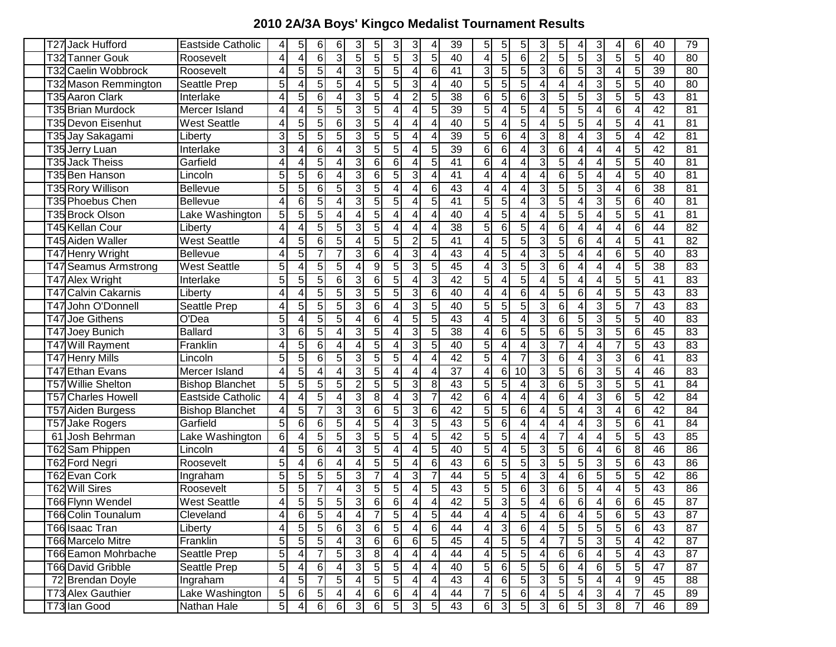## **2010 2A/3A Boys' Kingco Medalist Tournament Results**

| T27 Jack Hufford              | Eastside Catholic      | 4                       | $\sqrt{5}$              | 6                | 6                       | $\mathbf{3}$    | 5                | 3                | 3               | 4                | 39              | 5                       | 5                | 5                | $\mathbf{3}$            | 5              | 4              | 3               | 41              | 6              | 40              | 79              |
|-------------------------------|------------------------|-------------------------|-------------------------|------------------|-------------------------|-----------------|------------------|------------------|-----------------|------------------|-----------------|-------------------------|------------------|------------------|-------------------------|----------------|----------------|-----------------|-----------------|----------------|-----------------|-----------------|
| T32 Tanner Gouk               | Roosevelt              | 4                       | $\vert 4 \vert$         | 6                | ω                       | $\overline{5}$  | $\overline{5}$   | 5                | 3               | 5                | 40              | 4                       | 5                | $\overline{6}$   | $\overline{2}$          | 5              | 5              | 3               | 5 <sup>1</sup>  | 5              | 40              | 80              |
| T32 Caelin Wobbrock           | Roosevelt              | 4                       | $\overline{5}$          | 5                | 4                       | 3               | 5                | 5                | 4               | 6                | 41              | 3                       | 5                | $\overline{5}$   | 3                       | 6              | 5              | 3               | $\overline{4}$  | 5              | 39              | 80              |
| T32 Mason Remmington          | Seattle Prep           | 5                       | 4                       | 5                | 5                       | 4               | $\overline{5}$   | 5                | 3               | 4                | 40              | $\overline{5}$          | 5                | $\overline{5}$   | 4                       | 4              | 4              | 3               | 5 <sub>l</sub>  | 5              | 40              | $\overline{80}$ |
| T35 Aaron Clark               | Interlake              | 4                       | 5 <sup>1</sup>          | 6                | 4                       | 3               | 5                | 4                | $\overline{2}$  | 5                | 38              | $6 \,$                  | 5                | 6                | 3                       | 5              | 5              | 3               | 5 <sub>l</sub>  | 5              | 43              | 81              |
| T35 Brian Murdock             | Mercer Island          | 4                       | 4                       | 5                | 5                       | 3               | 5                | 4                | 4               | 5                | 39              | 5                       | 4                | 5                | 4                       | 5              | 5              | 4               | 6               | 4              | 42              | 81              |
| T35 Devon Eisenhut            | West Seattle           | 4                       | 5                       | 5                | 6                       | 3               | 5                | 4                | 4               | 4                | 40              | $\overline{5}$          | 4                | 5                | 4                       | 5              | 5              | 4               | 5               | 4              | 41              | 81              |
| T35 Jay Sakagami              | ∟ibert∨                | 3                       | $\overline{5}$          | 5                | 5                       | $\mathbf{3}$    | $\overline{5}$   | 5                | 4               | 4                | 39              | $\overline{5}$          | 6                | 4                | 3                       | 8              | 4              | 3               | 5               | 4              | 42              | $\overline{81}$ |
| T35 Jerry Luan                | Interlake              | 3                       | 4                       | $6 \,$           | 4                       | 3               | $\overline{5}$   | 5                | 4               | 5                | $\overline{39}$ | $\overline{6}$          | 6                | 4                | 3                       | 6              | 4              | 4               | $\overline{4}$  | 5              | 42              | 81              |
| T35<br><b>Jack Theiss</b>     | Garfield               | 4                       | 4                       | 5                | 4                       | 3               | 6                | 6                | 4               | 5                | 41              | 6                       | 4                | 4                | 3                       | 5              | 4              | 4               | 5               | 5              | 40              | 81              |
| T35 Ben Hanson                | Lincoln                | 5                       | 5 <sup>1</sup>          | $6 \,$           | 4                       | 3               | 6                | 5                | 3               | 4                | 41              | 4                       | 4                | 4                | 4                       | 6              | 5              | 4               | 4               | 5              | 40              | 81              |
| T35 Rory Willison             | <b>Bellevue</b>        | 5                       | $\overline{5}$          | $6 \,$           | 5                       | 3               | 5                | 4                | 4               | 6                | 43              | 4                       | 4                | 4                | 3                       | 5              | 5              | 3               | 4               | 6              | 38              | 81              |
| T35 Phoebus Chen              | Bellevue               | 4                       | 6 <sup>1</sup>          | 5                | 4                       | $\overline{3}$  | 5                | 5                | 4               | 5                | 41              | 5                       | 5                | 4                | 3                       | 5              | 4              | 3               | 5 <sub>l</sub>  | 6              | 40              | 81              |
| T35 Brock Olson               | Lake Washington        | 5                       | 5 <sup>1</sup>          | 5                | 4                       | 4               | 5                | 4                | 4               | 4                | 40              | $\overline{4}$          | 5                | 4                | 4                       | 5              | 5              | 4               | 5               | 5              | 41              | 81              |
| T45 Kellan Cour               | Liberty                | 4                       | $\overline{\mathbf{4}}$ | 5                | 5                       | 3               | 5                | 4                | 4               | 4                | 38              | 5                       | 6                | 5                | 4                       | 6              | 4              | 4               | 4               | 6              | 44              | 82              |
| T45 Aiden Waller              | <b>West Seattle</b>    | 4                       | 5 <sup>1</sup>          | 6                | 5                       | 4               | 5                | 5                | $\overline{2}$  | 5                | 41              | 4                       | 5                | 5                | 3                       | 5              | 6              | 4               | 4               | 5              | 41              | 82              |
| T47 Henry Wright              | Bellevue               | 4                       | $\overline{5}$          | $\overline{7}$   | $\overline{7}$          | $\overline{3}$  | $\overline{6}$   | 4                | 3               | $\overline{4}$   | 43              | $\overline{\mathbf{4}}$ | 5                | 4                | 3                       | 5              | 4              | 4               | 6 <sup>1</sup>  | 5              | 40              | 83              |
| T47 Seamus Armstrong          | <b>West Seattle</b>    | 5                       | 4                       | 5                | 5                       | 4               | $\boldsymbol{9}$ | 5                | 3               | 5                | 45              | $\overline{\mathbf{4}}$ | 3                | 5                | 3                       | 6              | 4              | 4               | 4               | 5              | 38              | 83              |
| T47 Alex Wright               | Interlake              | 5                       | 5 <sup>1</sup>          | 5                | 6                       | 3               | $6\phantom{1}$   | 5                | 4               | 3                | 42              | 5                       | 4                | 5                | 4                       | 5              | 4              | 4               | 5               | 5              | 41              | 83              |
| <b>Calvin Cakarnis</b><br>T47 | Liberty                | 4                       | 4                       | 5                | 5                       | 3               | 5                | 5                | 3               | 6                | 40              | 4                       | 4                | 6                | 4                       | 5              | 6              | 4               | 5               | 5              | 43              | 83              |
| T47 John O'Donnell            | Seattle Prep           |                         | 5                       | 5                | 5                       | 3               | 6                | 4                | 3               | 5                | 40              | 5                       | 5                | 5                | 3                       | 6              |                | 3               | 5               |                | 43              | 83              |
| T47 Joe Githens               | O'Dea                  | 5                       | 4                       | 5                | 5                       | 4               | 6                | 4                | 5               | 5                | 43              | $\overline{4}$          | 5                | 4                | 3                       | 6              | 5              | 3               | 5               | 5              | 40              | 83              |
| T47 Joey Bunich               | <b>Ballard</b>         | 3                       | 6                       | 5                | 4                       | 3               | 5                | 4                | 3               | 5                | $\overline{38}$ | 4                       | 6                | 5                | 5                       | 6              | 5              | 3               | 5               | 6              | 45              | 83              |
| T47 Will Rayment              | Franklin               | 4                       | 5 <sup>1</sup>          | 6                | 4                       | 4               | 5                | 4                | 3               | 5                | 40              | 5                       | 4                | 4                | 3                       |                | 4              | 4               |                 | 5              | 43              | 83              |
| T47 Henry Mills               | ∟incoln                | 5                       | $\overline{5}$          | 6                | 5                       | 3               | $\overline{5}$   | 5                | 4               | 4                | 42              | $\overline{5}$          | 4                | 7                | 3                       | 6              | 4              | 3               | 3               | 6              | $\overline{41}$ | 83              |
| <b>Ethan Evans</b><br>Т47     | Mercer Island          | 4                       | $\overline{5}$          | 4                | 4                       | 3               | 5                | 4                | 4               | 4                | $\overline{37}$ | $\overline{\mathbf{4}}$ | 6                | 10               | 3                       | 5              | 6              | 3               | 5               | 4              | 46              | 83              |
| <b>Willie Shelton</b><br>T57  | <b>Bishop Blanchet</b> | 5                       | $\overline{5}$          | 5                | 5                       | $\overline{2}$  | 5                | 5                | 3               | 8                | $\overline{43}$ | 5                       | 5                | 4                | 3                       | 6              | 5              | 3               | 5 <sub>l</sub>  | 5              | 41              | 84              |
| T57 Charles Howell            | Eastside Catholic      | 4                       | 4                       | 5                | 4                       | 3               | 8                | 4                | 3               |                  | $\overline{42}$ | $6\overline{6}$         | 4                | 4                | 4                       | 6              | 4              | 3               | 61              | 5              | 42              | 84              |
| T57 Aiden Burgess             | <b>Bishop Blanchet</b> | 4                       | $\overline{5}$          | 7                | 3                       | 3               | 6                | 5                | 3               | 6                | $\overline{42}$ | $\overline{5}$          | 5                | 6                | 4                       | 5              | 4              | 3               | 4               | 6              | $\overline{42}$ | $\overline{84}$ |
| T57 Jake Rogers               | Garfield               | 5                       | $6 \mid$                | 6                | 5                       | 4               | 5                | 4                | 3               | 5                | $\overline{43}$ | $\overline{5}$          | 6                | 4                | 4                       | 4              | 4              | 3               | 51              | 6              | 41              | 84              |
| 61 Josh Behrman               | Lake Washington        | 6                       | 4                       | 5                | 5                       | 3               | 5                | 5                | 4               | 5                | $\overline{42}$ | $\overline{5}$          | 5                | 4                | 4                       | 7              | 4              | 4               | 5               | 5              | 43              | 85              |
| T62 Sam Phippen               | Lincoln                | 4                       | 5 <sup>1</sup>          | $6 \,$           | 4                       | 3               | $\overline{5}$   | 4                | 4               | 5                | 40              | $\overline{5}$          | 4                | 5                | 3                       | 5              | 6              | 4               | 6               | 8              | 46              | 86              |
| T62 Ford Negri                | Roosevelt              | 5                       | $\overline{\mathbf{4}}$ | 6                | 4                       | 4               | $\overline{5}$   | 5                | 4               | 6                | $\overline{43}$ | $\overline{6}$          | 5                | $\overline{5}$   | 3                       | $\overline{5}$ | $\overline{5}$ | 3               | 5 <sup>1</sup>  | 6              | 43              | 86              |
| T62 Evan Cork                 | Ingraham               | 5                       | $\overline{5}$          | 5                | 5                       | 3               | $\overline{7}$   | 4                | 3               | 7                | 44              | $\overline{5}$          | 5                | 4                | 3                       | 4              | 6              | 5               | 5 <sup>1</sup>  | 5              | 42              | 86              |
| T62 Will Sires                | Roosevelt              | 5                       | $\overline{5}$          | $\overline{7}$   | 4                       | 3               | 5                | 5                | 4               | 5                | 43              | 5                       | 5                | 6                | 3                       | 6              | 5              | 4               | $\overline{4}$  | 5              | 43              | 86              |
| T66 Flynn Wendel              | <b>West Seattle</b>    | 4                       | $\overline{5}$          | $\overline{5}$   | 5 <sub>l</sub>          | $\mathbf{3}$    | $\,6$            | 6                | 4               | 4                | 42              | 5                       | 3                | $\overline{5}$   | 4                       | 6              | 6              | 4               | 6               | 6 <sup>1</sup> | 45              | 87              |
| <b>T66 Colin Tounalum</b>     | Cleveland              | 4                       | 6                       | $\overline{5}$   | $\vert 4 \vert$         | $\overline{4}$  | $\overline{7}$   | $\overline{5}$   | $\vert 4 \vert$ | $\overline{5}$   | 44              | $\overline{4}$          | 4 <sub>1</sub>   | $\overline{5}$   | 4                       | 6              | 4              | $5\overline{)}$ | 6               | $\overline{5}$ | 43              | 87              |
| T66 Isaac Tran                | Liberty                | $\overline{\mathbf{r}}$ | $\overline{5}$          | $\overline{5}$   | $6 \overline{6}$        | دن              | $\overline{6}$   | 5                | 4               | $6 \overline{6}$ | 44              | 4                       | 3                | $6 \overline{6}$ | $\overline{\mathbf{4}}$ | $\overline{5}$ | $\overline{5}$ | 5               | $\overline{5}$  | 6              | 43              | 87              |
| <b>T66 Marcelo Mitre</b>      | Franklin               | 5                       | $5\overline{)}$         | $\overline{5}$   | $\overline{4}$          | $\mathbf{3}$    | $\,6$            | $6 \overline{6}$ | 6               | 5                | 45              | 4                       | $\overline{5}$   | $\overline{5}$   | $\overline{\mathbf{4}}$ | $\overline{7}$ | $\overline{5}$ | 3               | 5               | 4              | 42              | 87              |
| T66 Eamon Mohrbache           | Seattle Prep           | 5                       | $\overline{4}$          | $\overline{7}$   | $\overline{5}$          | $\mathbf{3}$    | 8                | 4                | 4               | 4                | 44              | 4                       | $\overline{5}$   | 5 <sub>5</sub>   | 4                       | 6              | 6              | 4               | 5 <sub>5</sub>  | 4              | 43              | 87              |
| T66 David Gribble             | Seattle Prep           | $\overline{5}$          | 4                       | $6 \overline{6}$ | $\overline{4}$          | $\mathbf{3}$    | 5 <sub>l</sub>   | $\sqrt{5}$       | 4               | 4                | 40              | 5 <sup>1</sup>          | $6 \overline{6}$ | 5 <sub>5</sub>   | 5 <sup>1</sup>          | 6              | 4              | 6               | 5               | 5 <sub>5</sub> | 47              | 87              |
| 72 Brendan Doyle              | Ingraham               | $\overline{\mathbf{4}}$ | 5                       | $\overline{7}$   | $5\overline{)}$         | $\vert 4 \vert$ | 5 <sub>5</sub>   | $\overline{5}$   | 4               | 4                | 43              | $\overline{4}$          | 6                | $\overline{5}$   | $\mathbf{3}$            | $\sqrt{5}$     | 5 <sup>1</sup> | 4               | $\vert 4 \vert$ | 9              | 45              | 88              |
| T73 Alex Gauthier             | Lake Washington        | 5                       | $\overline{6}$          | $\overline{5}$   | $\overline{\mathbf{4}}$ | $\vert 4 \vert$ | 6                | 6                | 4               | 4                | 44              | $\overline{7}$          | 5 <sup>1</sup>   | $6\phantom{.}6$  | 4                       | $\sqrt{5}$     | 4              | $\mathfrak{S}$  | $\vert 4 \vert$ | 7              | 45              | 89              |
| T73 Ian Good                  | Nathan Hale            | $\overline{5}$          | $\overline{4}$          | 6                | $6 \overline{6}$        | $\overline{3}$  | 6                | 5 <sub>l</sub>   | $\mathfrak{S}$  | 5 <sub>l</sub>   | 43              | $6 \,$                  | $\mathbf{3}$     | 5 <sup>1</sup>   | $\overline{3}$          | 6              | 5              | $\mathbf{3}$    | 8 <sup>1</sup>  |                | 46              | 89              |